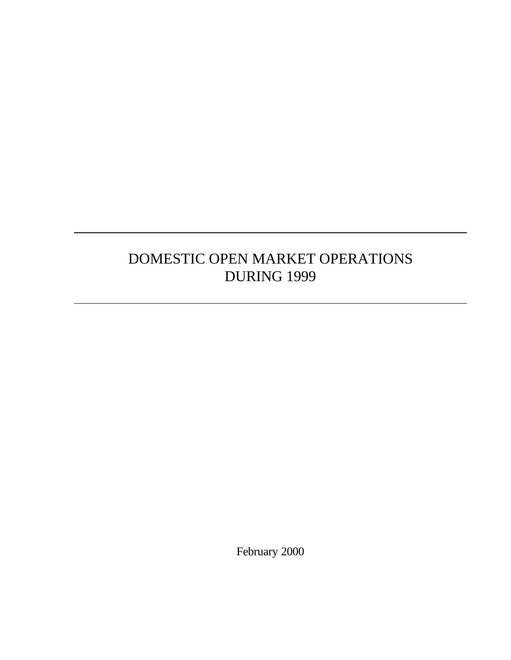# DOMESTIC OPEN MARKET OPERATIONS DURING 1999

February 2000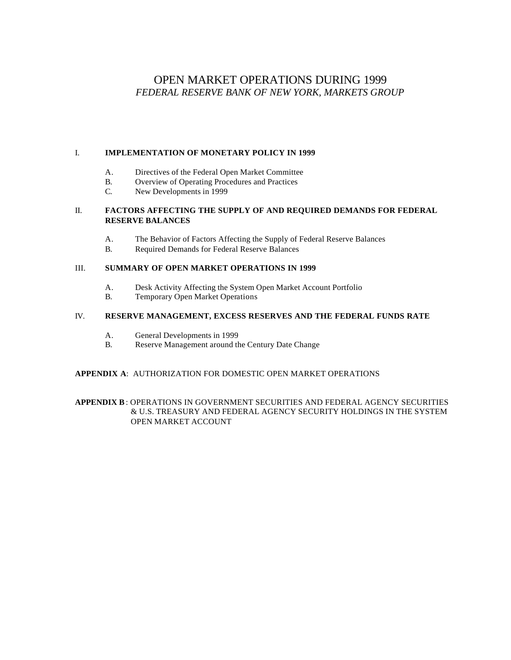# OPEN MARKET OPERATIONS DURING 1999 *FEDERAL RESERVE BANK OF NEW YORK, MARKETS GROUP*

## I. **IMPLEMENTATION OF MONETARY POLICY IN 1999**

- A. Directives of the Federal Open Market Committee
- B. Overview of Operating Procedures and Practices
- C. New Developments in 1999

# II. **FACTORS AFFECTING THE SUPPLY OF AND REQUIRED DEMANDS FOR FEDERAL RESERVE BALANCES**

- A. The Behavior of Factors Affecting the Supply of Federal Reserve Balances
- B. Required Demands for Federal Reserve Balances

## III. **SUMMARY OF OPEN MARKET OPERATIONS IN 1999**

- A. Desk Activity Affecting the System Open Market Account Portfolio
- B. Temporary Open Market Operations

# IV. **RESERVE MANAGEMENT, EXCESS RESERVES AND THE FEDERAL FUNDS RATE**

- A. General Developments in 1999
- B. Reserve Management around the Century Date Change

# **APPENDIX A**: AUTHORIZATION FOR DOMESTIC OPEN MARKET OPERATIONS

**APPENDIX B**: OPERATIONS IN GOVERNMENT SECURITIES AND FEDERAL AGENCY SECURITIES & U.S. TREASURY AND FEDERAL AGENCY SECURITY HOLDINGS IN THE SYSTEM OPEN MARKET ACCOUNT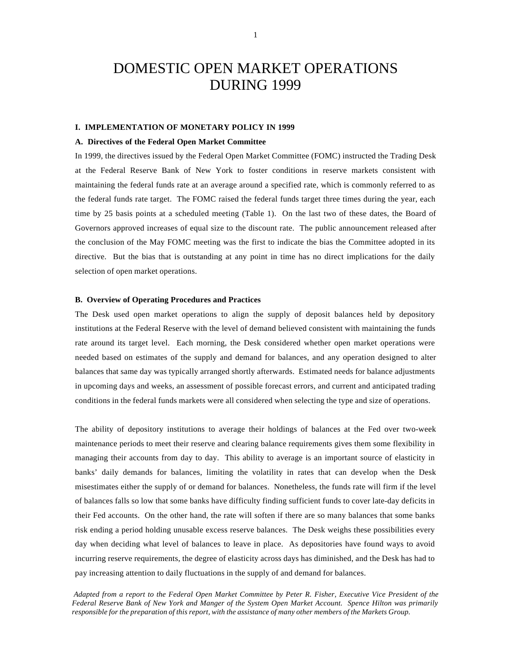# DOMESTIC OPEN MARKET OPERATIONS DURING 1999

#### **I. IMPLEMENTATION OF MONETARY POLICY IN 1999**

#### **A. Directives of the Federal Open Market Committee**

In 1999, the directives issued by the Federal Open Market Committee (FOMC) instructed the Trading Desk at the Federal Reserve Bank of New York to foster conditions in reserve markets consistent with maintaining the federal funds rate at an average around a specified rate, which is commonly referred to as the federal funds rate target. The FOMC raised the federal funds target three times during the year, each time by 25 basis points at a scheduled meeting (Table 1). On the last two of these dates, the Board of Governors approved increases of equal size to the discount rate. The public announcement released after the conclusion of the May FOMC meeting was the first to indicate the bias the Committee adopted in its directive. But the bias that is outstanding at any point in time has no direct implications for the daily selection of open market operations.

#### **B. Overview of Operating Procedures and Practices**

The Desk used open market operations to align the supply of deposit balances held by depository institutions at the Federal Reserve with the level of demand believed consistent with maintaining the funds rate around its target level. Each morning, the Desk considered whether open market operations were needed based on estimates of the supply and demand for balances, and any operation designed to alter balances that same day was typically arranged shortly afterwards. Estimated needs for balance adjustments in upcoming days and weeks, an assessment of possible forecast errors, and current and anticipated trading conditions in the federal funds markets were all considered when selecting the type and size of operations.

The ability of depository institutions to average their holdings of balances at the Fed over two-week maintenance periods to meet their reserve and clearing balance requirements gives them some flexibility in managing their accounts from day to day. This ability to average is an important source of elasticity in banks' daily demands for balances, limiting the volatility in rates that can develop when the Desk misestimates either the supply of or demand for balances. Nonetheless, the funds rate will firm if the level of balances falls so low that some banks have difficulty finding sufficient funds to cover late-day deficits in their Fed accounts. On the other hand, the rate will soften if there are so many balances that some banks risk ending a period holding unusable excess reserve balances. The Desk weighs these possibilities every day when deciding what level of balances to leave in place. As depositories have found ways to avoid incurring reserve requirements, the degree of elasticity across days has diminished, and the Desk has had to pay increasing attention to daily fluctuations in the supply of and demand for balances.

*Adapted from a report to the Federal Open Market Committee by Peter R. Fisher, Executive Vice President of the Federal Reserve Bank of New York and Manger of the System Open Market Account. Spence Hilton was primarily responsible for the preparation of this report, with the assistance of many other members of the Markets Group.*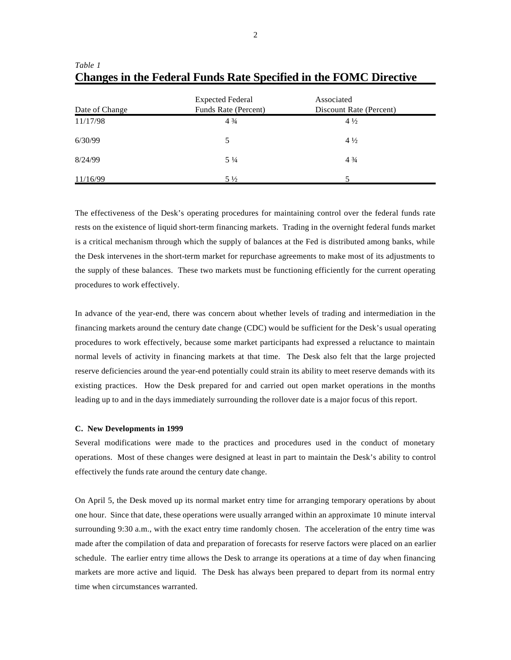| Date of Change | <b>Expected Federal</b><br>Funds Rate (Percent) | Associated<br>Discount Rate (Percent) |
|----------------|-------------------------------------------------|---------------------------------------|
| 11/17/98       | $4\frac{3}{4}$                                  | $4\frac{1}{2}$                        |
| 6/30/99        | 5                                               | $4\frac{1}{2}$                        |
| 8/24/99        | $5\frac{1}{4}$                                  | $4\frac{3}{4}$                        |
| 11/16/99       | $5\frac{1}{2}$                                  |                                       |

*Table 1* **Changes in the Federal Funds Rate Specified in the FOMC Directive**

The effectiveness of the Desk's operating procedures for maintaining control over the federal funds rate rests on the existence of liquid short-term financing markets. Trading in the overnight federal funds market is a critical mechanism through which the supply of balances at the Fed is distributed among banks, while the Desk intervenes in the short-term market for repurchase agreements to make most of its adjustments to the supply of these balances. These two markets must be functioning efficiently for the current operating procedures to work effectively.

In advance of the year-end, there was concern about whether levels of trading and intermediation in the financing markets around the century date change (CDC) would be sufficient for the Desk's usual operating procedures to work effectively, because some market participants had expressed a reluctance to maintain normal levels of activity in financing markets at that time. The Desk also felt that the large projected reserve deficiencies around the year-end potentially could strain its ability to meet reserve demands with its existing practices. How the Desk prepared for and carried out open market operations in the months leading up to and in the days immediately surrounding the rollover date is a major focus of this report.

#### **C. New Developments in 1999**

Several modifications were made to the practices and procedures used in the conduct of monetary operations. Most of these changes were designed at least in part to maintain the Desk's ability to control effectively the funds rate around the century date change.

On April 5, the Desk moved up its normal market entry time for arranging temporary operations by about one hour. Since that date, these operations were usually arranged within an approximate 10 minute interval surrounding 9:30 a.m., with the exact entry time randomly chosen. The acceleration of the entry time was made after the compilation of data and preparation of forecasts for reserve factors were placed on an earlier schedule. The earlier entry time allows the Desk to arrange its operations at a time of day when financing markets are more active and liquid. The Desk has always been prepared to depart from its normal entry time when circumstances warranted.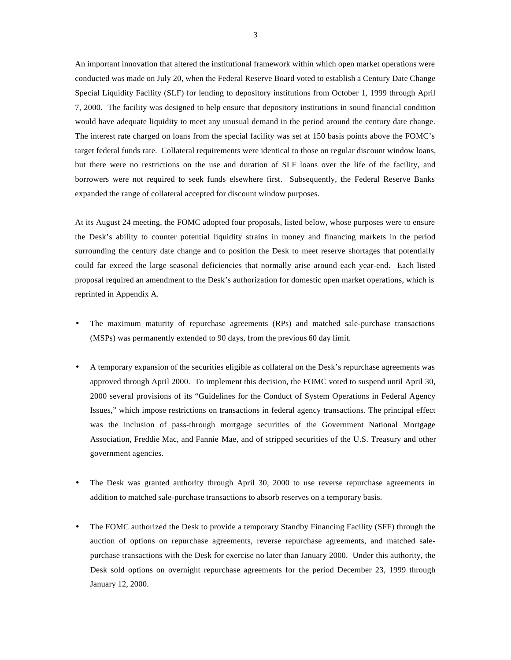An important innovation that altered the institutional framework within which open market operations were conducted was made on July 20, when the Federal Reserve Board voted to establish a Century Date Change Special Liquidity Facility (SLF) for lending to depository institutions from October 1, 1999 through April 7, 2000. The facility was designed to help ensure that depository institutions in sound financial condition would have adequate liquidity to meet any unusual demand in the period around the century date change. The interest rate charged on loans from the special facility was set at 150 basis points above the FOMC's target federal funds rate. Collateral requirements were identical to those on regular discount window loans, but there were no restrictions on the use and duration of SLF loans over the life of the facility, and borrowers were not required to seek funds elsewhere first. Subsequently, the Federal Reserve Banks expanded the range of collateral accepted for discount window purposes.

At its August 24 meeting, the FOMC adopted four proposals, listed below, whose purposes were to ensure the Desk's ability to counter potential liquidity strains in money and financing markets in the period surrounding the century date change and to position the Desk to meet reserve shortages that potentially could far exceed the large seasonal deficiencies that normally arise around each year-end. Each listed proposal required an amendment to the Desk's authorization for domestic open market operations, which is reprinted in Appendix A.

- The maximum maturity of repurchase agreements (RPs) and matched sale-purchase transactions (MSPs) was permanently extended to 90 days, from the previous 60 day limit.
- A temporary expansion of the securities eligible as collateral on the Desk's repurchase agreements was approved through April 2000. To implement this decision, the FOMC voted to suspend until April 30, 2000 several provisions of its "Guidelines for the Conduct of System Operations in Federal Agency Issues," which impose restrictions on transactions in federal agency transactions. The principal effect was the inclusion of pass-through mortgage securities of the Government National Mortgage Association, Freddie Mac, and Fannie Mae, and of stripped securities of the U.S. Treasury and other government agencies.
- The Desk was granted authority through April 30, 2000 to use reverse repurchase agreements in addition to matched sale-purchase transactions to absorb reserves on a temporary basis.
- The FOMC authorized the Desk to provide a temporary Standby Financing Facility (SFF) through the auction of options on repurchase agreements, reverse repurchase agreements, and matched salepurchase transactions with the Desk for exercise no later than January 2000. Under this authority, the Desk sold options on overnight repurchase agreements for the period December 23, 1999 through January 12, 2000.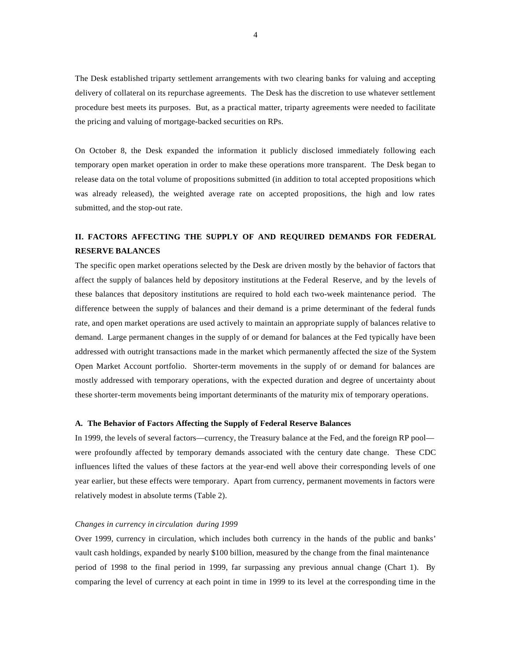The Desk established triparty settlement arrangements with two clearing banks for valuing and accepting delivery of collateral on its repurchase agreements. The Desk has the discretion to use whatever settlement procedure best meets its purposes. But, as a practical matter, triparty agreements were needed to facilitate the pricing and valuing of mortgage-backed securities on RPs.

On October 8, the Desk expanded the information it publicly disclosed immediately following each temporary open market operation in order to make these operations more transparent. The Desk began to release data on the total volume of propositions submitted (in addition to total accepted propositions which was already released), the weighted average rate on accepted propositions, the high and low rates submitted, and the stop-out rate.

# **II. FACTORS AFFECTING THE SUPPLY OF AND REQUIRED DEMANDS FOR FEDERAL RESERVE BALANCES**

The specific open market operations selected by the Desk are driven mostly by the behavior of factors that affect the supply of balances held by depository institutions at the Federal Reserve, and by the levels of these balances that depository institutions are required to hold each two-week maintenance period. The difference between the supply of balances and their demand is a prime determinant of the federal funds rate, and open market operations are used actively to maintain an appropriate supply of balances relative to demand. Large permanent changes in the supply of or demand for balances at the Fed typically have been addressed with outright transactions made in the market which permanently affected the size of the System Open Market Account portfolio. Shorter-term movements in the supply of or demand for balances are mostly addressed with temporary operations, with the expected duration and degree of uncertainty about these shorter-term movements being important determinants of the maturity mix of temporary operations.

#### **A. The Behavior of Factors Affecting the Supply of Federal Reserve Balances**

In 1999, the levels of several factors—currency, the Treasury balance at the Fed, and the foreign RP pool were profoundly affected by temporary demands associated with the century date change. These CDC influences lifted the values of these factors at the year-end well above their corresponding levels of one year earlier, but these effects were temporary. Apart from currency, permanent movements in factors were relatively modest in absolute terms (Table 2).

#### *Changes in currency in circulation during 1999*

Over 1999, currency in circulation, which includes both currency in the hands of the public and banks' vault cash holdings, expanded by nearly \$100 billion, measured by the change from the final maintenance period of 1998 to the final period in 1999, far surpassing any previous annual change (Chart 1). By comparing the level of currency at each point in time in 1999 to its level at the corresponding time in the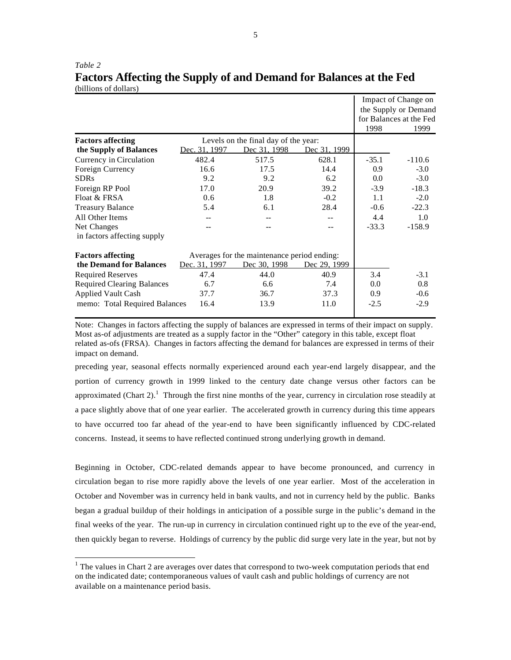|                                   |               |                                             |              | 1998    | Impact of Change on<br>the Supply or Demand<br>for Balances at the Fed<br>1999 |
|-----------------------------------|---------------|---------------------------------------------|--------------|---------|--------------------------------------------------------------------------------|
| <b>Factors affecting</b>          |               | Levels on the final day of the year:        |              |         |                                                                                |
| the Supply of Balances            | Dec. 31, 1997 | Dec 31, 1998                                | Dec 31, 1999 |         |                                                                                |
| Currency in Circulation           | 482.4         | 517.5                                       | 628.1        | $-35.1$ | $-110.6$                                                                       |
| Foreign Currency                  | 16.6          | 17.5                                        | 14.4         | 0.9     | $-3.0$                                                                         |
| <b>SDRs</b>                       | 9.2           | 9.2                                         | 6.2          | 0.0     | $-3.0$                                                                         |
| Foreign RP Pool                   | 17.0          | 20.9                                        | 39.2         | $-3.9$  | $-18.3$                                                                        |
| Float & FRSA                      | 0.6           | 1.8                                         | $-0.2$       | 1.1     | $-2.0$                                                                         |
| <b>Treasury Balance</b>           | 5.4           | 6.1                                         | 28.4         | $-0.6$  | $-22.3$                                                                        |
| All Other Items                   |               |                                             |              | 4.4     | 1.0                                                                            |
| Net Changes                       |               |                                             |              | $-33.3$ | $-158.9$                                                                       |
| in factors affecting supply       |               |                                             |              |         |                                                                                |
| <b>Factors affecting</b>          |               | Averages for the maintenance period ending: |              |         |                                                                                |
| the Demand for Balances           | Dec. 31, 1997 | Dec 30, 1998                                | Dec 29, 1999 |         |                                                                                |
| <b>Required Reserves</b>          | 47.4          | 44.0                                        | 40.9         | 3.4     | $-3.1$                                                                         |
| <b>Required Clearing Balances</b> | 6.7           | 6.6                                         | 7.4          | $0.0\,$ | 0.8                                                                            |
| <b>Applied Vault Cash</b>         | 37.7          | 36.7                                        | 37.3         | 0.9     | $-0.6$                                                                         |
| memo: Total Required Balances     | 16.4          | 13.9                                        | 11.0         | $-2.5$  | $-2.9$                                                                         |

*Table 2* **Factors Affecting the Supply of and Demand for Balances at the Fed** (billions of dollars)

Note: Changes in factors affecting the supply of balances are expressed in terms of their impact on supply. Most as-of adjustments are treated as a supply factor in the "Other" category in this table, except float related as-ofs (FRSA). Changes in factors affecting the demand for balances are expressed in terms of their impact on demand.

preceding year, seasonal effects normally experienced around each year-end largely disappear, and the portion of currency growth in 1999 linked to the century date change versus other factors can be approximated (Chart 2).<sup>1</sup> Through the first nine months of the year, currency in circulation rose steadily at a pace slightly above that of one year earlier. The accelerated growth in currency during this time appears to have occurred too far ahead of the year-end to have been significantly influenced by CDC-related concerns. Instead, it seems to have reflected continued strong underlying growth in demand.

Beginning in October, CDC-related demands appear to have become pronounced, and currency in circulation began to rise more rapidly above the levels of one year earlier. Most of the acceleration in October and November was in currency held in bank vaults, and not in currency held by the public. Banks began a gradual buildup of their holdings in anticipation of a possible surge in the public's demand in the final weeks of the year. The run-up in currency in circulation continued right up to the eve of the year-end, then quickly began to reverse. Holdings of currency by the public did surge very late in the year, but not by

 $1$  The values in Chart 2 are averages over dates that correspond to two-week computation periods that end on the indicated date; contemporaneous values of vault cash and public holdings of currency are not available on a maintenance period basis.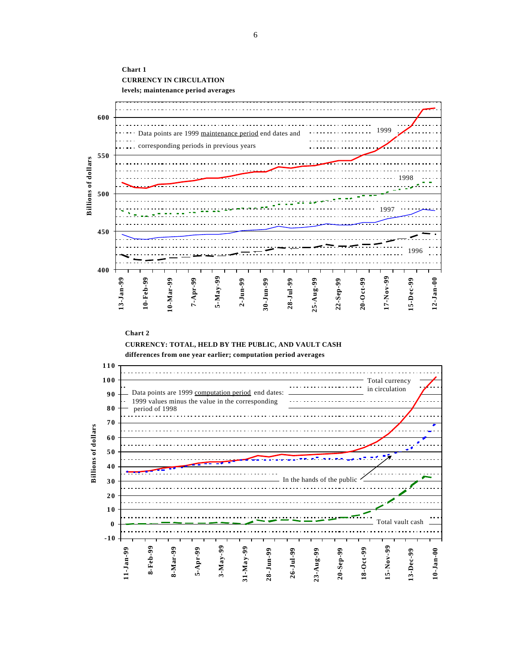

#### **Chart 2**

**CURRENCY: TOTAL, HELD BY THE PUBLIC, AND VAULT CASH**



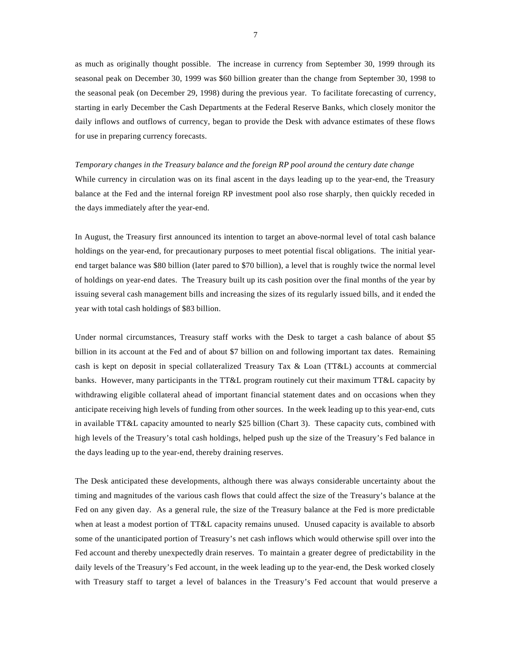as much as originally thought possible. The increase in currency from September 30, 1999 through its seasonal peak on December 30, 1999 was \$60 billion greater than the change from September 30, 1998 to the seasonal peak (on December 29, 1998) during the previous year. To facilitate forecasting of currency, starting in early December the Cash Departments at the Federal Reserve Banks, which closely monitor the daily inflows and outflows of currency, began to provide the Desk with advance estimates of these flows for use in preparing currency forecasts.

*Temporary changes in the Treasury balance and the foreign RP pool around the century date change* While currency in circulation was on its final ascent in the days leading up to the year-end, the Treasury balance at the Fed and the internal foreign RP investment pool also rose sharply, then quickly receded in the days immediately after the year-end.

In August, the Treasury first announced its intention to target an above-normal level of total cash balance holdings on the year-end, for precautionary purposes to meet potential fiscal obligations. The initial yearend target balance was \$80 billion (later pared to \$70 billion), a level that is roughly twice the normal level of holdings on year-end dates. The Treasury built up its cash position over the final months of the year by issuing several cash management bills and increasing the sizes of its regularly issued bills, and it ended the year with total cash holdings of \$83 billion.

Under normal circumstances, Treasury staff works with the Desk to target a cash balance of about \$5 billion in its account at the Fed and of about \$7 billion on and following important tax dates. Remaining cash is kept on deposit in special collateralized Treasury Tax & Loan (TT&L) accounts at commercial banks. However, many participants in the TT&L program routinely cut their maximum TT&L capacity by withdrawing eligible collateral ahead of important financial statement dates and on occasions when they anticipate receiving high levels of funding from other sources. In the week leading up to this year-end, cuts in available TT&L capacity amounted to nearly \$25 billion (Chart 3). These capacity cuts, combined with high levels of the Treasury's total cash holdings, helped push up the size of the Treasury's Fed balance in the days leading up to the year-end, thereby draining reserves.

The Desk anticipated these developments, although there was always considerable uncertainty about the timing and magnitudes of the various cash flows that could affect the size of the Treasury's balance at the Fed on any given day. As a general rule, the size of the Treasury balance at the Fed is more predictable when at least a modest portion of TT&L capacity remains unused. Unused capacity is available to absorb some of the unanticipated portion of Treasury's net cash inflows which would otherwise spill over into the Fed account and thereby unexpectedly drain reserves. To maintain a greater degree of predictability in the daily levels of the Treasury's Fed account, in the week leading up to the year-end, the Desk worked closely with Treasury staff to target a level of balances in the Treasury's Fed account that would preserve a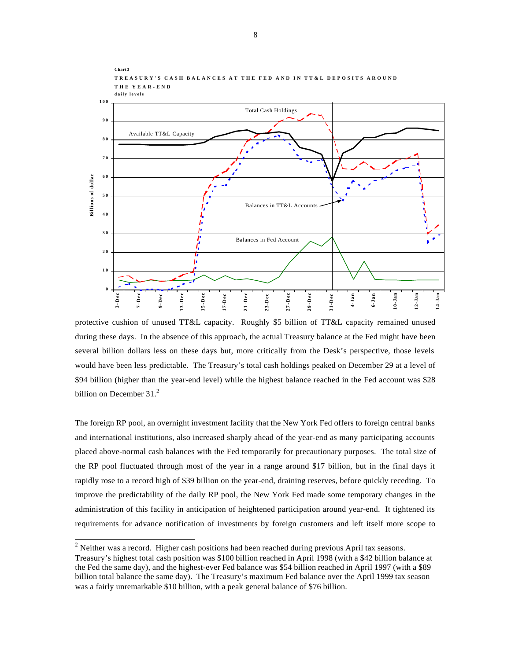

**TREASURY'S CASH BALANCES AT THE FED AND IN TT&L DEPOSITS AROUND THE YEAR-END**

**Chart 3**

protective cushion of unused TT&L capacity. Roughly \$5 billion of TT&L capacity remained unused during these days. In the absence of this approach, the actual Treasury balance at the Fed might have been several billion dollars less on these days but, more critically from the Desk's perspective, those levels would have been less predictable. The Treasury's total cash holdings peaked on December 29 at a level of \$94 billion (higher than the year-end level) while the highest balance reached in the Fed account was \$28 billion on December  $31<sup>2</sup>$ 

The foreign RP pool, an overnight investment facility that the New York Fed offers to foreign central banks and international institutions, also increased sharply ahead of the year-end as many participating accounts placed above-normal cash balances with the Fed temporarily for precautionary purposes. The total size of the RP pool fluctuated through most of the year in a range around \$17 billion, but in the final days it rapidly rose to a record high of \$39 billion on the year-end, draining reserves, before quickly receding. To improve the predictability of the daily RP pool, the New York Fed made some temporary changes in the administration of this facility in anticipation of heightened participation around year-end. It tightened its requirements for advance notification of investments by foreign customers and left itself more scope to

<sup>&</sup>lt;sup>2</sup> Neither was a record. Higher cash positions had been reached during previous April tax seasons. Treasury's highest total cash position was \$100 billion reached in April 1998 (with a \$42 billion balance at the Fed the same day), and the highest-ever Fed balance was \$54 billion reached in April 1997 (with a \$89 billion total balance the same day). The Treasury's maximum Fed balance over the April 1999 tax season was a fairly unremarkable \$10 billion, with a peak general balance of \$76 billion.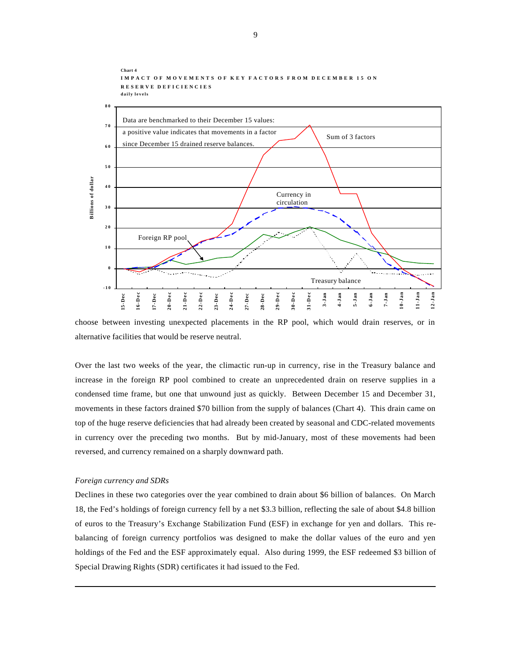

choose between investing unexpected placements in the RP pool, which would drain reserves, or in alternative facilities that would be reserve neutral.

Over the last two weeks of the year, the climactic run-up in currency, rise in the Treasury balance and increase in the foreign RP pool combined to create an unprecedented drain on reserve supplies in a condensed time frame, but one that unwound just as quickly. Between December 15 and December 31, movements in these factors drained \$70 billion from the supply of balances (Chart 4). This drain came on top of the huge reserve deficiencies that had already been created by seasonal and CDC-related movements in currency over the preceding two months. But by mid-January, most of these movements had been reversed, and currency remained on a sharply downward path.

### *Foreign currency and SDRs*

l

Declines in these two categories over the year combined to drain about \$6 billion of balances. On March 18, the Fed's holdings of foreign currency fell by a net \$3.3 billion, reflecting the sale of about \$4.8 billion of euros to the Treasury's Exchange Stabilization Fund (ESF) in exchange for yen and dollars. This rebalancing of foreign currency portfolios was designed to make the dollar values of the euro and yen holdings of the Fed and the ESF approximately equal. Also during 1999, the ESF redeemed \$3 billion of Special Drawing Rights (SDR) certificates it had issued to the Fed.

9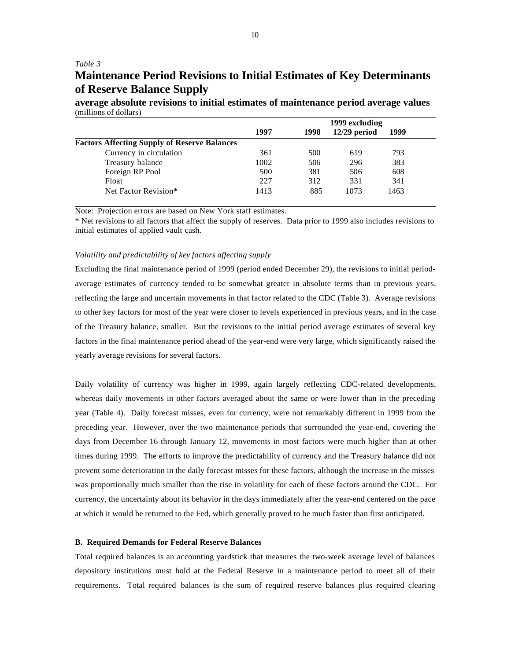## *Table 3*

# **Maintenance Period Revisions to Initial Estimates of Key Determinants of Reserve Balance Supply**

**average absolute revisions to initial estimates of maintenance period average values** (millions of dollars)

|                                                     | 1999 excluding |      |                |      |  |  |
|-----------------------------------------------------|----------------|------|----------------|------|--|--|
|                                                     | 1997           | 1998 | $12/29$ period | 1999 |  |  |
| <b>Factors Affecting Supply of Reserve Balances</b> |                |      |                |      |  |  |
| Currency in circulation                             | 361            | 500  | 619            | 793  |  |  |
| Treasury balance                                    | 1002           | 506  | 296            | 383  |  |  |
| Foreign RP Pool                                     | 500            | 381  | 506            | 608  |  |  |
| Float                                               | 227            | 312  | 331            | 341  |  |  |
| Net Factor Revision*                                | 1413           | 885  | 1073           | 1463 |  |  |

Note: Projection errors are based on New York staff estimates.

\* Net revisions to all factors that affect the supply of reserves. Data prior to 1999 also includes revisions to initial estimates of applied vault cash.

## *Volatility and predictability of key factors affecting supply*

Excluding the final maintenance period of 1999 (period ended December 29), the revisions to initial periodaverage estimates of currency tended to be somewhat greater in absolute terms than in previous years, reflecting the large and uncertain movements in that factor related to the CDC (Table 3). Average revisions to other key factors for most of the year were closer to levels experienced in previous years, and in the case of the Treasury balance, smaller. But the revisions to the initial period average estimates of several key factors in the final maintenance period ahead of the year-end were very large, which significantly raised the yearly average revisions for several factors.

Daily volatility of currency was higher in 1999, again largely reflecting CDC-related developments, whereas daily movements in other factors averaged about the same or were lower than in the preceding year (Table 4). Daily forecast misses, even for currency, were not remarkably different in 1999 from the preceding year. However, over the two maintenance periods that surrounded the year-end, covering the days from December 16 through January 12, movements in most factors were much higher than at other times during 1999. The efforts to improve the predictability of currency and the Treasury balance did not prevent some deterioration in the daily forecast misses for these factors, although the increase in the misses was proportionally much smaller than the rise in volatility for each of these factors around the CDC. For currency, the uncertainty about its behavior in the days immediately after the year-end centered on the pace at which it would be returned to the Fed, which generally proved to be much faster than first anticipated.

#### **B. Required Demands for Federal Reserve Balances**

Total required balances is an accounting yardstick that measures the two-week average level of balances depository institutions must hold at the Federal Reserve in a maintenance period to meet all of their requirements. Total required balances is the sum of required reserve balances plus required clearing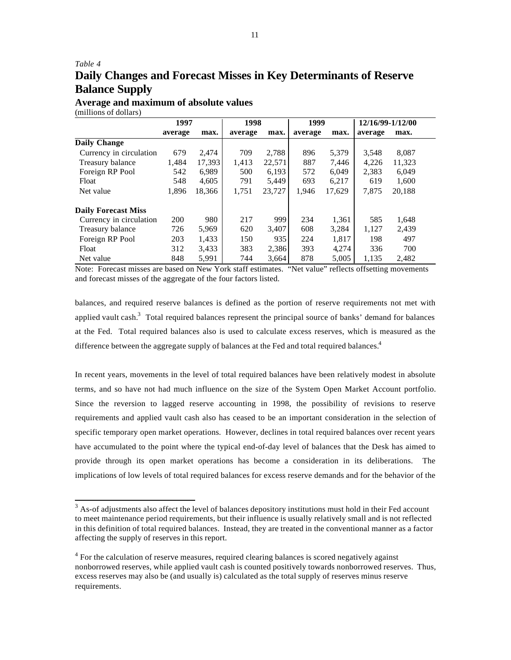# *Table 4* **Daily Changes and Forecast Misses in Key Determinants of Reserve Balance Supply**

**Average and maximum of absolute values** (millions of dollars)

l

|                            | 1997    |        |         | 1998   |         | 1999   |         | 12/16/99-1/12/00 |  |
|----------------------------|---------|--------|---------|--------|---------|--------|---------|------------------|--|
|                            | average | max.   | average | max.   | average | max.   | average | max.             |  |
| <b>Daily Change</b>        |         |        |         |        |         |        |         |                  |  |
| Currency in circulation    | 679     | 2.474  | 709     | 2.788  | 896     | 5,379  | 3,548   | 8,087            |  |
| Treasury balance           | 1,484   | 17,393 | 1.413   | 22,571 | 887     | 7.446  | 4.226   | 11,323           |  |
| Foreign RP Pool            | 542     | 6,989  | 500     | 6,193  | 572     | 6,049  | 2,383   | 6,049            |  |
| Float                      | 548     | 4,605  | 791     | 5,449  | 693     | 6,217  | 619     | 1,600            |  |
| Net value                  | 1,896   | 18.366 | 1,751   | 23,727 | 1,946   | 17,629 | 7,875   | 20,188           |  |
| <b>Daily Forecast Miss</b> |         |        |         |        |         |        |         |                  |  |
| Currency in circulation    | 200     | 980    | 217     | 999    | 234     | 1,361  | 585     | 1,648            |  |
| Treasury balance           | 726     | 5,969  | 620     | 3.407  | 608     | 3,284  | 1,127   | 2,439            |  |
| Foreign RP Pool            | 203     | 1,433  | 150     | 935    | 224     | 1,817  | 198     | 497              |  |
| Float                      | 312     | 3,433  | 383     | 2,386  | 393     | 4,274  | 336     | 700              |  |
| Net value                  | 848     | 5,991  | 744     | 3,664  | 878     | 5,005  | 1,135   | 2,482            |  |

Note: Forecast misses are based on New York staff estimates. "Net value" reflects offsetting movements and forecast misses of the aggregate of the four factors listed.

balances, and required reserve balances is defined as the portion of reserve requirements not met with applied vault cash.<sup>3</sup> Total required balances represent the principal source of banks' demand for balances at the Fed. Total required balances also is used to calculate excess reserves, which is measured as the difference between the aggregate supply of balances at the Fed and total required balances.<sup>4</sup>

In recent years, movements in the level of total required balances have been relatively modest in absolute terms, and so have not had much influence on the size of the System Open Market Account portfolio. Since the reversion to lagged reserve accounting in 1998, the possibility of revisions to reserve requirements and applied vault cash also has ceased to be an important consideration in the selection of specific temporary open market operations. However, declines in total required balances over recent years have accumulated to the point where the typical end-of-day level of balances that the Desk has aimed to provide through its open market operations has become a consideration in its deliberations. The implications of low levels of total required balances for excess reserve demands and for the behavior of the

 $3$  As-of adjustments also affect the level of balances depository institutions must hold in their Fed account to meet maintenance period requirements, but their influence is usually relatively small and is not reflected in this definition of total required balances. Instead, they are treated in the conventional manner as a factor affecting the supply of reserves in this report.

<sup>&</sup>lt;sup>4</sup> For the calculation of reserve measures, required clearing balances is scored negatively against nonborrowed reserves, while applied vault cash is counted positively towards nonborrowed reserves. Thus, excess reserves may also be (and usually is) calculated as the total supply of reserves minus reserve requirements.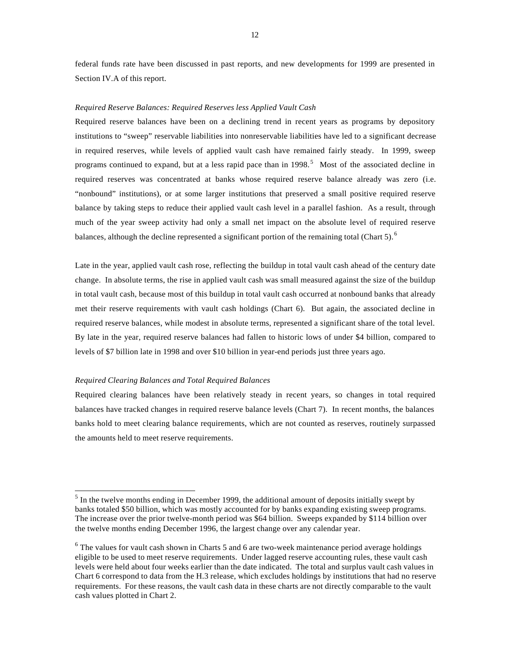federal funds rate have been discussed in past reports, and new developments for 1999 are presented in Section IV.A of this report.

#### *Required Reserve Balances: Required Reserves less Applied Vault Cash*

Required reserve balances have been on a declining trend in recent years as programs by depository institutions to "sweep" reservable liabilities into nonreservable liabilities have led to a significant decrease in required reserves, while levels of applied vault cash have remained fairly steady. In 1999, sweep programs continued to expand, but at a less rapid pace than in  $1998$ .<sup>5</sup> Most of the associated decline in required reserves was concentrated at banks whose required reserve balance already was zero (i.e. "nonbound" institutions), or at some larger institutions that preserved a small positive required reserve balance by taking steps to reduce their applied vault cash level in a parallel fashion. As a result, through much of the year sweep activity had only a small net impact on the absolute level of required reserve balances, although the decline represented a significant portion of the remaining total (Chart 5).

Late in the year, applied vault cash rose, reflecting the buildup in total vault cash ahead of the century date change. In absolute terms, the rise in applied vault cash was small measured against the size of the buildup in total vault cash, because most of this buildup in total vault cash occurred at nonbound banks that already met their reserve requirements with vault cash holdings (Chart 6). But again, the associated decline in required reserve balances, while modest in absolute terms, represented a significant share of the total level. By late in the year, required reserve balances had fallen to historic lows of under \$4 billion, compared to levels of \$7 billion late in 1998 and over \$10 billion in year-end periods just three years ago.

#### *Required Clearing Balances and Total Required Balances*

l

Required clearing balances have been relatively steady in recent years, so changes in total required balances have tracked changes in required reserve balance levels (Chart 7). In recent months, the balances banks hold to meet clearing balance requirements, which are not counted as reserves, routinely surpassed the amounts held to meet reserve requirements.

 $<sup>5</sup>$  In the twelve months ending in December 1999, the additional amount of deposits initially swept by</sup> banks totaled \$50 billion, which was mostly accounted for by banks expanding existing sweep programs. The increase over the prior twelve-month period was \$64 billion. Sweeps expanded by \$114 billion over the twelve months ending December 1996, the largest change over any calendar year.

 $6$  The values for vault cash shown in Charts 5 and 6 are two-week maintenance period average holdings eligible to be used to meet reserve requirements. Under lagged reserve accounting rules, these vault cash levels were held about four weeks earlier than the date indicated. The total and surplus vault cash values in Chart 6 correspond to data from the H.3 release, which excludes holdings by institutions that had no reserve requirements. For these reasons, the vault cash data in these charts are not directly comparable to the vault cash values plotted in Chart 2.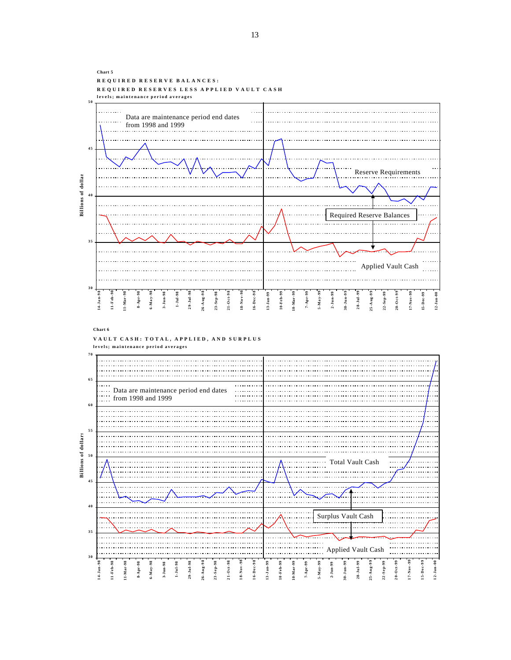**Chart 5 REQUIRED RESERVE BALANCES: REQUIRED RESERVES LESS APPLIED VAULT CASH levels; maintenance period averages 5 0**  $\mathbf{r}$ Data are maintenance period end dates from 1998 and 1999 **4 5** Reserve Requirements **Billions** of dollar **Billions of dollar** Required Reserve Balances . . . . . . . . . . . . . . . **3 5** Applied Vault Cash **3 0 16-Dec-98 13-Jan-99 10-Feb-99 10-Mar-99 2-Jun-99 8-Apr-98 3-Jun-98 7-Apr-99 5-May-99 17-Nov-99 15-Dec-99 12-Jan-00 11-Mar-98 1-Jul-98 29-Jul-98 28-Jul-99 20-Oct-99 11-Feb-98 6-May-98 26-Aug-98 23-Sep-98 21-Oct-98 18-Nov-98 30-Jun-99 25-Aug-99 22-Sep-99 14-Jan-98 Chart 6 VAULT CASH: TOTAL, APPLIED, AND SURPLUS levels; maintenance period averages 7 0 6 5** Data are maintenance period end dates . . . . . . . . . . . from 1998 and 1999 **6 0 5 5 Billions of dollars Billions of dollars 5 0** Total Vault Cash **4 5 4 0** Surplus Vault Cash**3 5** .<br>1. . . . . . . . . . . . . . . . . . . . . . . . . . . . Applied Vault Cash **3 0 7-Apr-99 5-May-99 6-May-98 29-Jul-98 16-Dec-98 13-Jan-99 10-Feb-99 20-Oct-99 11-Feb-98 11-Mar-98 8-Apr-98 3-Jun-98 1-Jul-98 26-Aug-98 23-Sep-98 21-Oct-98 18-Nov-98 10-Mar-99 2-Jun-99 30-Jun-99 28-Jul-99 25-Aug-99 22-Sep-99 17-Nov-99 15-Dec-99 12-Jan-00 14-Jan-98**

13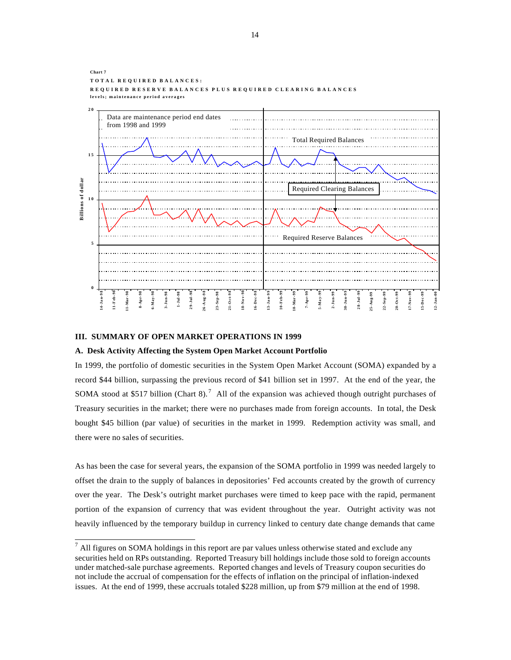

#### **III. SUMMARY OF OPEN MARKET OPERATIONS IN 1999**

#### **A. Desk Activity Affecting the System Open Market Account Portfolio**

In 1999, the portfolio of domestic securities in the System Open Market Account (SOMA) expanded by a record \$44 billion, surpassing the previous record of \$41 billion set in 1997. At the end of the year, the SOMA stood at \$517 billion (Chart 8).<sup>7</sup> All of the expansion was achieved though outright purchases of Treasury securities in the market; there were no purchases made from foreign accounts. In total, the Desk bought \$45 billion (par value) of securities in the market in 1999. Redemption activity was small, and there were no sales of securities.

As has been the case for several years, the expansion of the SOMA portfolio in 1999 was needed largely to offset the drain to the supply of balances in depositories' Fed accounts created by the growth of currency over the year. The Desk's outright market purchases were timed to keep pace with the rapid, permanent portion of the expansion of currency that was evident throughout the year. Outright activity was not heavily influenced by the temporary buildup in currency linked to century date change demands that came

 7 All figures on SOMA holdings in this report are par values unless otherwise stated and exclude any securities held on RPs outstanding. Reported Treasury bill holdings include those sold to foreign accounts under matched-sale purchase agreements. Reported changes and levels of Treasury coupon securities do not include the accrual of compensation for the effects of inflation on the principal of inflation-indexed issues. At the end of 1999, these accruals totaled \$228 million, up from \$79 million at the end of 1998.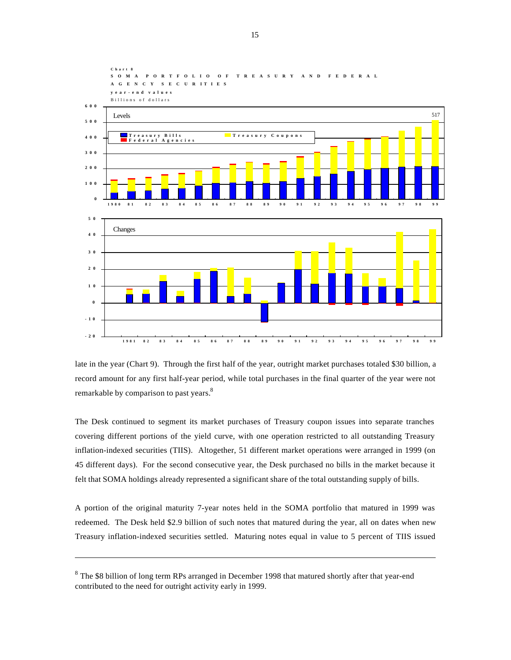

late in the year (Chart 9). Through the first half of the year, outright market purchases totaled \$30 billion, a record amount for any first half-year period, while total purchases in the final quarter of the year were not remarkable by comparison to past years.<sup>8</sup>

The Desk continued to segment its market purchases of Treasury coupon issues into separate tranches covering different portions of the yield curve, with one operation restricted to all outstanding Treasury inflation-indexed securities (TIIS). Altogether, 51 different market operations were arranged in 1999 (on 45 different days). For the second consecutive year, the Desk purchased no bills in the market because it felt that SOMA holdings already represented a significant share of the total outstanding supply of bills.

A portion of the original maturity 7-year notes held in the SOMA portfolio that matured in 1999 was redeemed. The Desk held \$2.9 billion of such notes that matured during the year, all on dates when new Treasury inflation-indexed securities settled. Maturing notes equal in value to 5 percent of TIIS issued

<sup>&</sup>lt;sup>8</sup> The \$8 billion of long term RPs arranged in December 1998 that matured shortly after that year-end contributed to the need for outright activity early in 1999.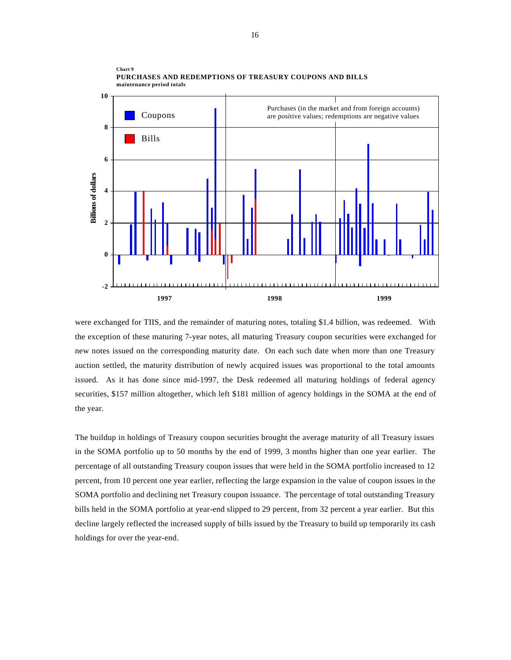

**PURCHASES AND REDEMPTIONS OF TREASURY COUPONS AND BILLS maintenance period totals**

**Chart 9**

were exchanged for TIIS, and the remainder of maturing notes, totaling \$1.4 billion, was redeemed. With the exception of these maturing 7-year notes, all maturing Treasury coupon securities were exchanged for new notes issued on the corresponding maturity date. On each such date when more than one Treasury auction settled, the maturity distribution of newly acquired issues was proportional to the total amounts issued. As it has done since mid-1997, the Desk redeemed all maturing holdings of federal agency securities, \$157 million altogether, which left \$181 million of agency holdings in the SOMA at the end of the year.

The buildup in holdings of Treasury coupon securities brought the average maturity of all Treasury issues in the SOMA portfolio up to 50 months by the end of 1999, 3 months higher than one year earlier. The percentage of all outstanding Treasury coupon issues that were held in the SOMA portfolio increased to 12 percent, from 10 percent one year earlier, reflecting the large expansion in the value of coupon issues in the SOMA portfolio and declining net Treasury coupon issuance. The percentage of total outstanding Treasury bills held in the SOMA portfolio at year-end slipped to 29 percent, from 32 percent a year earlier. But this decline largely reflected the increased supply of bills issued by the Treasury to build up temporarily its cash holdings for over the year-end.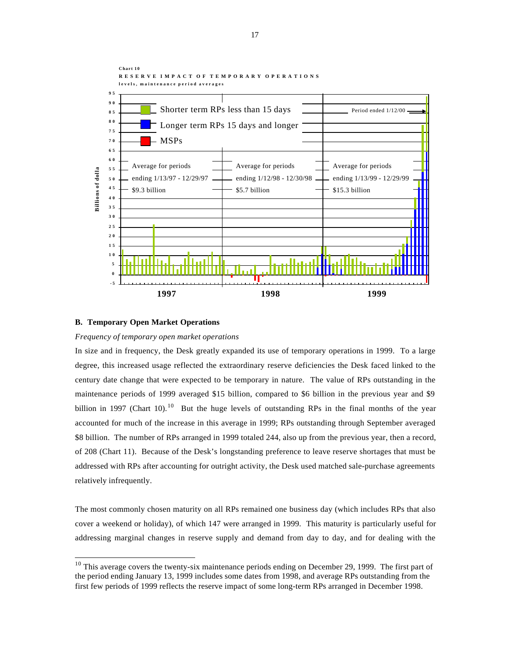

#### **B. Temporary Open Market Operations**

l

#### *Frequency of temporary open market operations*

In size and in frequency, the Desk greatly expanded its use of temporary operations in 1999. To a large degree, this increased usage reflected the extraordinary reserve deficiencies the Desk faced linked to the century date change that were expected to be temporary in nature. The value of RPs outstanding in the maintenance periods of 1999 averaged \$15 billion, compared to \$6 billion in the previous year and \$9 billion in 1997 (Chart 10).<sup>10</sup> But the huge levels of outstanding RPs in the final months of the year accounted for much of the increase in this average in 1999; RPs outstanding through September averaged \$8 billion. The number of RPs arranged in 1999 totaled 244, also up from the previous year, then a record, of 208 (Chart 11). Because of the Desk's longstanding preference to leave reserve shortages that must be addressed with RPs after accounting for outright activity, the Desk used matched sale-purchase agreements relatively infrequently.

The most commonly chosen maturity on all RPs remained one business day (which includes RPs that also cover a weekend or holiday), of which 147 were arranged in 1999. This maturity is particularly useful for addressing marginal changes in reserve supply and demand from day to day, and for dealing with the

 $10$  This average covers the twenty-six maintenance periods ending on December 29, 1999. The first part of the period ending January 13, 1999 includes some dates from 1998, and average RPs outstanding from the first few periods of 1999 reflects the reserve impact of some long-term RPs arranged in December 1998.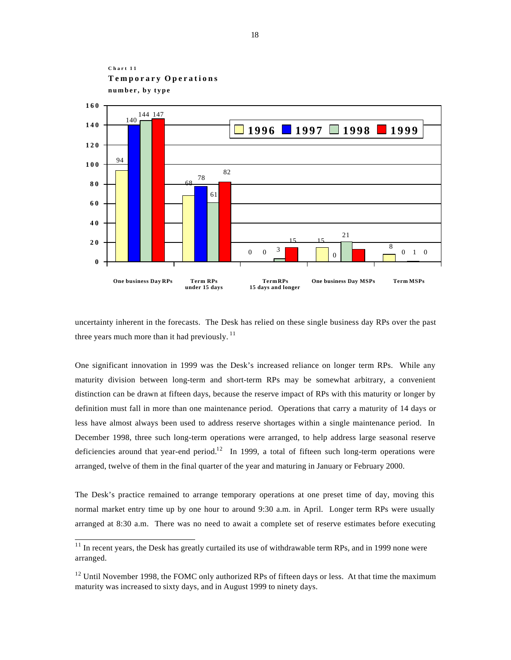

uncertainty inherent in the forecasts. The Desk has relied on these single business day RPs over the past three years much more than it had previously.  $11$ 

One significant innovation in 1999 was the Desk's increased reliance on longer term RPs. While any maturity division between long-term and short-term RPs may be somewhat arbitrary, a convenient distinction can be drawn at fifteen days, because the reserve impact of RPs with this maturity or longer by definition must fall in more than one maintenance period. Operations that carry a maturity of 14 days or less have almost always been used to address reserve shortages within a single maintenance period. In December 1998, three such long-term operations were arranged, to help address large seasonal reserve deficiencies around that year-end period.<sup>12</sup> In 1999, a total of fifteen such long-term operations were arranged, twelve of them in the final quarter of the year and maturing in January or February 2000.

The Desk's practice remained to arrange temporary operations at one preset time of day, moving this normal market entry time up by one hour to around 9:30 a.m. in April. Longer term RPs were usually arranged at 8:30 a.m. There was no need to await a complete set of reserve estimates before executing

 $11$  In recent years, the Desk has greatly curtailed its use of withdrawable term RPs, and in 1999 none were arranged.

<sup>&</sup>lt;sup>12</sup> Until November 1998, the FOMC only authorized RPs of fifteen days or less. At that time the maximum maturity was increased to sixty days, and in August 1999 to ninety days.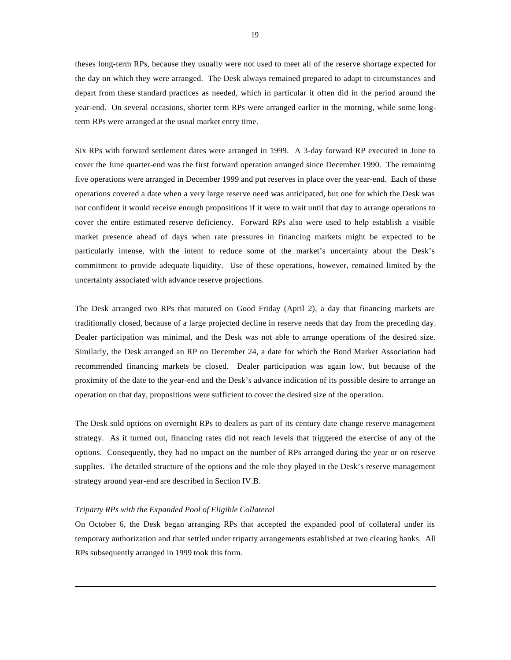theses long-term RPs, because they usually were not used to meet all of the reserve shortage expected for the day on which they were arranged. The Desk always remained prepared to adapt to circumstances and depart from these standard practices as needed, which in particular it often did in the period around the year-end. On several occasions, shorter term RPs were arranged earlier in the morning, while some longterm RPs were arranged at the usual market entry time.

Six RPs with forward settlement dates were arranged in 1999. A 3-day forward RP executed in June to cover the June quarter-end was the first forward operation arranged since December 1990. The remaining five operations were arranged in December 1999 and put reserves in place over the year-end. Each of these operations covered a date when a very large reserve need was anticipated, but one for which the Desk was not confident it would receive enough propositions if it were to wait until that day to arrange operations to cover the entire estimated reserve deficiency. Forward RPs also were used to help establish a visible market presence ahead of days when rate pressures in financing markets might be expected to be particularly intense, with the intent to reduce some of the market's uncertainty about the Desk's commitment to provide adequate liquidity. Use of these operations, however, remained limited by the uncertainty associated with advance reserve projections.

The Desk arranged two RPs that matured on Good Friday (April 2), a day that financing markets are traditionally closed, because of a large projected decline in reserve needs that day from the preceding day. Dealer participation was minimal, and the Desk was not able to arrange operations of the desired size. Similarly, the Desk arranged an RP on December 24, a date for which the Bond Market Association had recommended financing markets be closed. Dealer participation was again low, but because of the proximity of the date to the year-end and the Desk's advance indication of its possible desire to arrange an operation on that day, propositions were sufficient to cover the desired size of the operation.

The Desk sold options on overnight RPs to dealers as part of its century date change reserve management strategy. As it turned out, financing rates did not reach levels that triggered the exercise of any of the options. Consequently, they had no impact on the number of RPs arranged during the year or on reserve supplies. The detailed structure of the options and the role they played in the Desk's reserve management strategy around year-end are described in Section IV.B.

#### *Triparty RPs with the Expanded Pool of Eligible Collateral*

l

On October 6, the Desk began arranging RPs that accepted the expanded pool of collateral under its temporary authorization and that settled under triparty arrangements established at two clearing banks. All RPs subsequently arranged in 1999 took this form.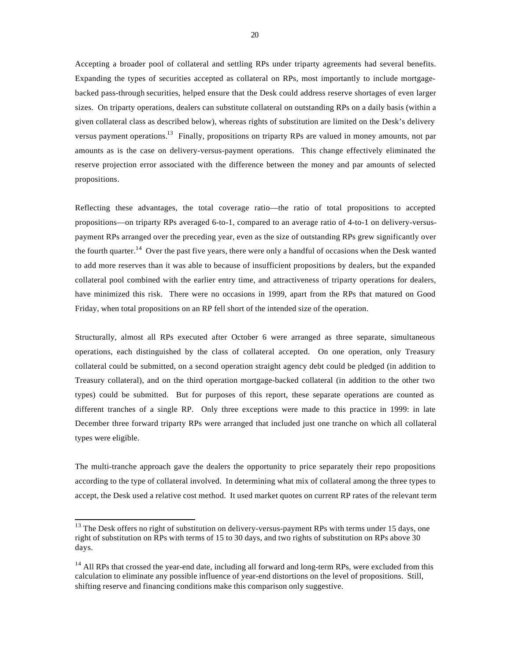Accepting a broader pool of collateral and settling RPs under triparty agreements had several benefits. Expanding the types of securities accepted as collateral on RPs, most importantly to include mortgagebacked pass-through securities, helped ensure that the Desk could address reserve shortages of even larger sizes. On triparty operations, dealers can substitute collateral on outstanding RPs on a daily basis (within a given collateral class as described below), whereas rights of substitution are limited on the Desk's delivery versus payment operations.<sup>13</sup> Finally, propositions on triparty RPs are valued in money amounts, not par amounts as is the case on delivery-versus-payment operations. This change effectively eliminated the reserve projection error associated with the difference between the money and par amounts of selected propositions.

Reflecting these advantages, the total coverage ratio—the ratio of total propositions to accepted propositions—on triparty RPs averaged 6-to-1, compared to an average ratio of 4-to-1 on delivery-versuspayment RPs arranged over the preceding year, even as the size of outstanding RPs grew significantly over the fourth quarter.<sup>14</sup> Over the past five years, there were only a handful of occasions when the Desk wanted to add more reserves than it was able to because of insufficient propositions by dealers, but the expanded collateral pool combined with the earlier entry time, and attractiveness of triparty operations for dealers, have minimized this risk. There were no occasions in 1999, apart from the RPs that matured on Good Friday, when total propositions on an RP fell short of the intended size of the operation.

Structurally, almost all RPs executed after October 6 were arranged as three separate, simultaneous operations, each distinguished by the class of collateral accepted. On one operation, only Treasury collateral could be submitted, on a second operation straight agency debt could be pledged (in addition to Treasury collateral), and on the third operation mortgage-backed collateral (in addition to the other two types) could be submitted. But for purposes of this report, these separate operations are counted as different tranches of a single RP. Only three exceptions were made to this practice in 1999: in late December three forward triparty RPs were arranged that included just one tranche on which all collateral types were eligible.

The multi-tranche approach gave the dealers the opportunity to price separately their repo propositions according to the type of collateral involved. In determining what mix of collateral among the three types to accept, the Desk used a relative cost method. It used market quotes on current RP rates of the relevant term

 $13$  The Desk offers no right of substitution on delivery-versus-payment RPs with terms under 15 days, one right of substitution on RPs with terms of 15 to 30 days, and two rights of substitution on RPs above 30 days.

 $<sup>14</sup>$  All RPs that crossed the year-end date, including all forward and long-term RPs, were excluded from this</sup> calculation to eliminate any possible influence of year-end distortions on the level of propositions. Still, shifting reserve and financing conditions make this comparison only suggestive.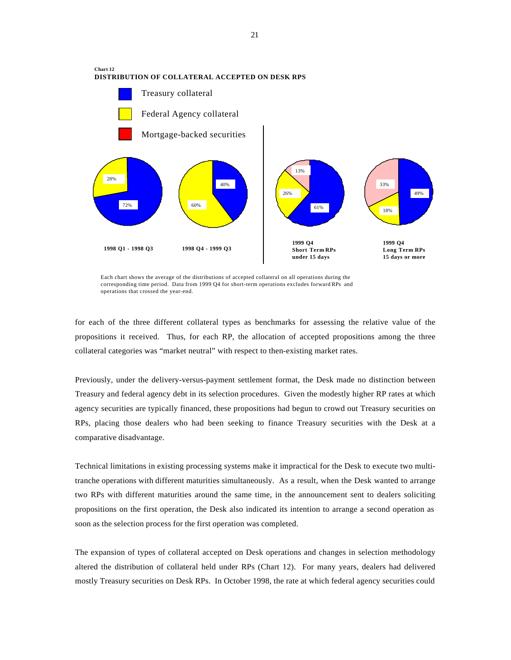

Each chart shows the average of the distributions of accepted collateral on all operations during the corresponding time period. Data from 1999 Q4 for short-term operations excludes forward RPs and operations that crossed the year-end.

for each of the three different collateral types as benchmarks for assessing the relative value of the propositions it received. Thus, for each RP, the allocation of accepted propositions among the three collateral categories was "market neutral" with respect to then-existing market rates.

Previously, under the delivery-versus-payment settlement format, the Desk made no distinction between Treasury and federal agency debt in its selection procedures. Given the modestly higher RP rates at which agency securities are typically financed, these propositions had begun to crowd out Treasury securities on RPs, placing those dealers who had been seeking to finance Treasury securities with the Desk at a comparative disadvantage.

Technical limitations in existing processing systems make it impractical for the Desk to execute two multitranche operations with different maturities simultaneously. As a result, when the Desk wanted to arrange two RPs with different maturities around the same time, in the announcement sent to dealers soliciting propositions on the first operation, the Desk also indicated its intention to arrange a second operation as soon as the selection process for the first operation was completed.

The expansion of types of collateral accepted on Desk operations and changes in selection methodology altered the distribution of collateral held under RPs (Chart 12). For many years, dealers had delivered mostly Treasury securities on Desk RPs. In October 1998, the rate at which federal agency securities could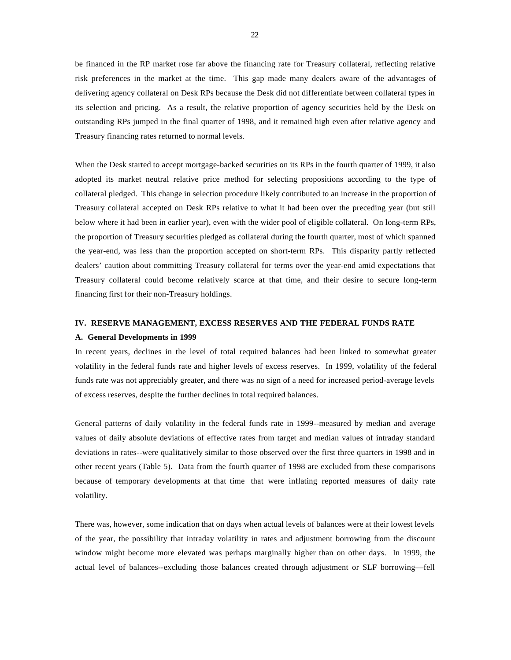be financed in the RP market rose far above the financing rate for Treasury collateral, reflecting relative risk preferences in the market at the time. This gap made many dealers aware of the advantages of delivering agency collateral on Desk RPs because the Desk did not differentiate between collateral types in its selection and pricing. As a result, the relative proportion of agency securities held by the Desk on outstanding RPs jumped in the final quarter of 1998, and it remained high even after relative agency and Treasury financing rates returned to normal levels.

When the Desk started to accept mortgage-backed securities on its RPs in the fourth quarter of 1999, it also adopted its market neutral relative price method for selecting propositions according to the type of collateral pledged. This change in selection procedure likely contributed to an increase in the proportion of Treasury collateral accepted on Desk RPs relative to what it had been over the preceding year (but still below where it had been in earlier year), even with the wider pool of eligible collateral. On long-term RPs, the proportion of Treasury securities pledged as collateral during the fourth quarter, most of which spanned the year-end, was less than the proportion accepted on short-term RPs. This disparity partly reflected dealers' caution about committing Treasury collateral for terms over the year-end amid expectations that Treasury collateral could become relatively scarce at that time, and their desire to secure long-term financing first for their non-Treasury holdings.

### **IV. RESERVE MANAGEMENT, EXCESS RESERVES AND THE FEDERAL FUNDS RATE**

#### **A. General Developments in 1999**

In recent years, declines in the level of total required balances had been linked to somewhat greater volatility in the federal funds rate and higher levels of excess reserves. In 1999, volatility of the federal funds rate was not appreciably greater, and there was no sign of a need for increased period-average levels of excess reserves, despite the further declines in total required balances.

General patterns of daily volatility in the federal funds rate in 1999--measured by median and average values of daily absolute deviations of effective rates from target and median values of intraday standard deviations in rates--were qualitatively similar to those observed over the first three quarters in 1998 and in other recent years (Table 5). Data from the fourth quarter of 1998 are excluded from these comparisons because of temporary developments at that time that were inflating reported measures of daily rate volatility.

There was, however, some indication that on days when actual levels of balances were at their lowest levels of the year, the possibility that intraday volatility in rates and adjustment borrowing from the discount window might become more elevated was perhaps marginally higher than on other days. In 1999, the actual level of balances--excluding those balances created through adjustment or SLF borrowing—fell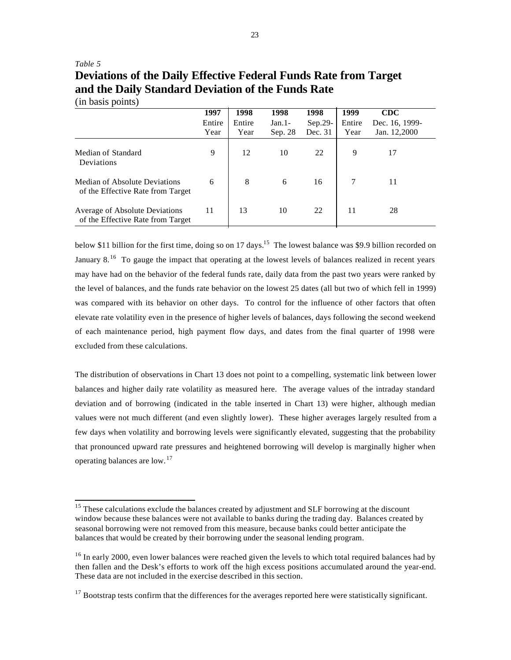# *Table 5* **Deviations of the Daily Effective Federal Funds Rate from Target and the Daily Standard Deviation of the Funds Rate**

(in basis points)

l

|                                                                           | 1997           | 1998           | 1998                | 1998               | 1999           | CDC                            |  |
|---------------------------------------------------------------------------|----------------|----------------|---------------------|--------------------|----------------|--------------------------------|--|
|                                                                           | Entire<br>Year | Entire<br>Year | $Jan.1-$<br>Sep. 28 | Sep.29-<br>Dec. 31 | Entire<br>Year | Dec. 16, 1999-<br>Jan. 12,2000 |  |
| Median of Standard<br>Deviations                                          | 9              | 12             | 10                  | 22                 | 9              | 17                             |  |
| <b>Median of Absolute Deviations</b><br>of the Effective Rate from Target | 6              | 8              | 6                   | 16                 |                | 11                             |  |
| Average of Absolute Deviations<br>of the Effective Rate from Target       | 11             | 13             | 10                  | 22                 | 11             | 28                             |  |

below \$11 billion for the first time, doing so on 17 days.<sup>15</sup> The lowest balance was \$9.9 billion recorded on January 8.<sup>16</sup> To gauge the impact that operating at the lowest levels of balances realized in recent years may have had on the behavior of the federal funds rate, daily data from the past two years were ranked by the level of balances, and the funds rate behavior on the lowest 25 dates (all but two of which fell in 1999) was compared with its behavior on other days. To control for the influence of other factors that often elevate rate volatility even in the presence of higher levels of balances, days following the second weekend of each maintenance period, high payment flow days, and dates from the final quarter of 1998 were excluded from these calculations.

The distribution of observations in Chart 13 does not point to a compelling, systematic link between lower balances and higher daily rate volatility as measured here. The average values of the intraday standard deviation and of borrowing (indicated in the table inserted in Chart 13) were higher, although median values were not much different (and even slightly lower). These higher averages largely resulted from a few days when volatility and borrowing levels were significantly elevated, suggesting that the probability that pronounced upward rate pressures and heightened borrowing will develop is marginally higher when operating balances are low. <sup>17</sup>

<sup>&</sup>lt;sup>15</sup> These calculations exclude the balances created by adjustment and SLF borrowing at the discount window because these balances were not available to banks during the trading day. Balances created by seasonal borrowing were not removed from this measure, because banks could better anticipate the balances that would be created by their borrowing under the seasonal lending program.

<sup>&</sup>lt;sup>16</sup> In early 2000, even lower balances were reached given the levels to which total required balances had by then fallen and the Desk's efforts to work off the high excess positions accumulated around the year-end. These data are not included in the exercise described in this section.

 $17$  Bootstrap tests confirm that the differences for the averages reported here were statistically significant.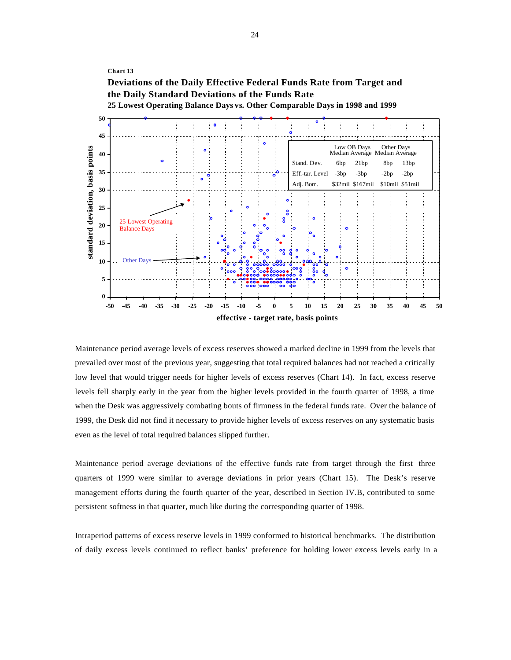

Maintenance period average levels of excess reserves showed a marked decline in 1999 from the levels that prevailed over most of the previous year, suggesting that total required balances had not reached a critically low level that would trigger needs for higher levels of excess reserves (Chart 14). In fact, excess reserve levels fell sharply early in the year from the higher levels provided in the fourth quarter of 1998, a time when the Desk was aggressively combating bouts of firmness in the federal funds rate. Over the balance of 1999, the Desk did not find it necessary to provide higher levels of excess reserves on any systematic basis even as the level of total required balances slipped further.

Maintenance period average deviations of the effective funds rate from target through the first three quarters of 1999 were similar to average deviations in prior years (Chart 15). The Desk's reserve management efforts during the fourth quarter of the year, described in Section IV.B, contributed to some persistent softness in that quarter, much like during the corresponding quarter of 1998.

Intraperiod patterns of excess reserve levels in 1999 conformed to historical benchmarks. The distribution of daily excess levels continued to reflect banks' preference for holding lower excess levels early in a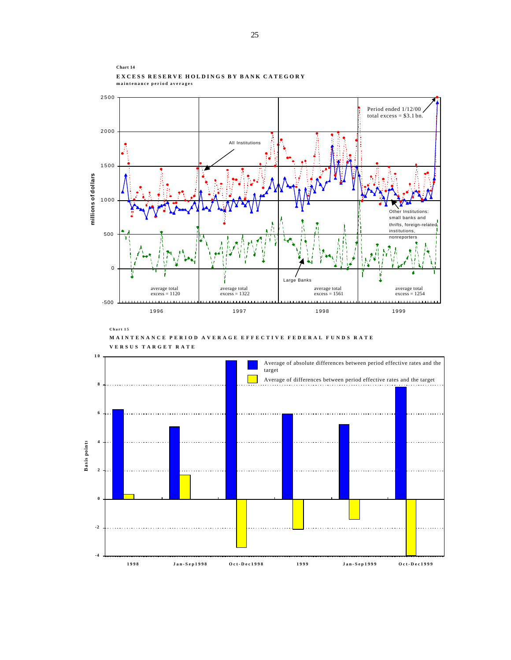

**MAINTENANCE PERIOD AVERAGE EFFECTIVE FEDERAL FUNDS RATE** 



**VERSUS TARGET RATE**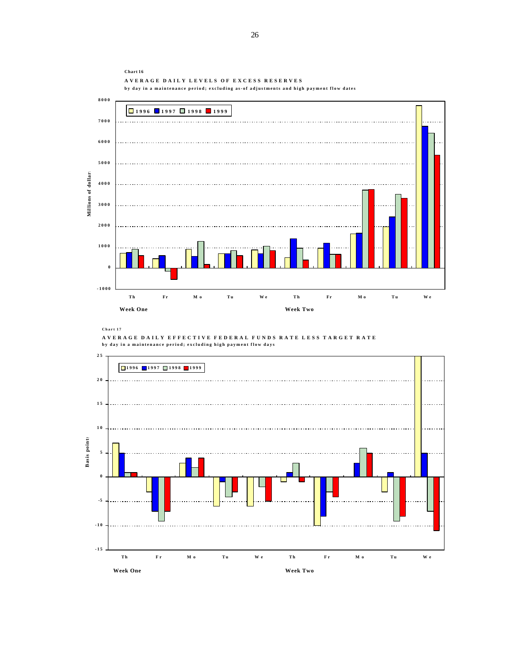

**Chart 17**



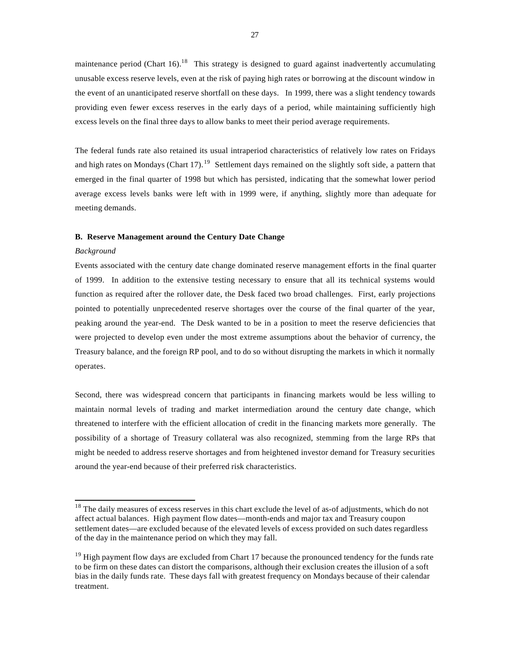maintenance period (Chart 16).<sup>18</sup> This strategy is designed to guard against inadvertently accumulating unusable excess reserve levels, even at the risk of paying high rates or borrowing at the discount window in the event of an unanticipated reserve shortfall on these days. In 1999, there was a slight tendency towards providing even fewer excess reserves in the early days of a period, while maintaining sufficiently high excess levels on the final three days to allow banks to meet their period average requirements.

The federal funds rate also retained its usual intraperiod characteristics of relatively low rates on Fridays and high rates on Mondays (Chart 17).<sup>19</sup> Settlement days remained on the slightly soft side, a pattern that emerged in the final quarter of 1998 but which has persisted, indicating that the somewhat lower period average excess levels banks were left with in 1999 were, if anything, slightly more than adequate for meeting demands.

#### **B. Reserve Management around the Century Date Change**

#### *Background*

l

Events associated with the century date change dominated reserve management efforts in the final quarter of 1999. In addition to the extensive testing necessary to ensure that all its technical systems would function as required after the rollover date, the Desk faced two broad challenges. First, early projections pointed to potentially unprecedented reserve shortages over the course of the final quarter of the year, peaking around the year-end. The Desk wanted to be in a position to meet the reserve deficiencies that were projected to develop even under the most extreme assumptions about the behavior of currency, the Treasury balance, and the foreign RP pool, and to do so without disrupting the markets in which it normally operates.

Second, there was widespread concern that participants in financing markets would be less willing to maintain normal levels of trading and market intermediation around the century date change, which threatened to interfere with the efficient allocation of credit in the financing markets more generally. The possibility of a shortage of Treasury collateral was also recognized, stemming from the large RPs that might be needed to address reserve shortages and from heightened investor demand for Treasury securities around the year-end because of their preferred risk characteristics.

<sup>&</sup>lt;sup>18</sup> The daily measures of excess reserves in this chart exclude the level of as-of adjustments, which do not affect actual balances. High payment flow dates—month-ends and major tax and Treasury coupon settlement dates—are excluded because of the elevated levels of excess provided on such dates regardless of the day in the maintenance period on which they may fall.

<sup>&</sup>lt;sup>19</sup> High payment flow days are excluded from Chart 17 because the pronounced tendency for the funds rate to be firm on these dates can distort the comparisons, although their exclusion creates the illusion of a soft bias in the daily funds rate. These days fall with greatest frequency on Mondays because of their calendar treatment.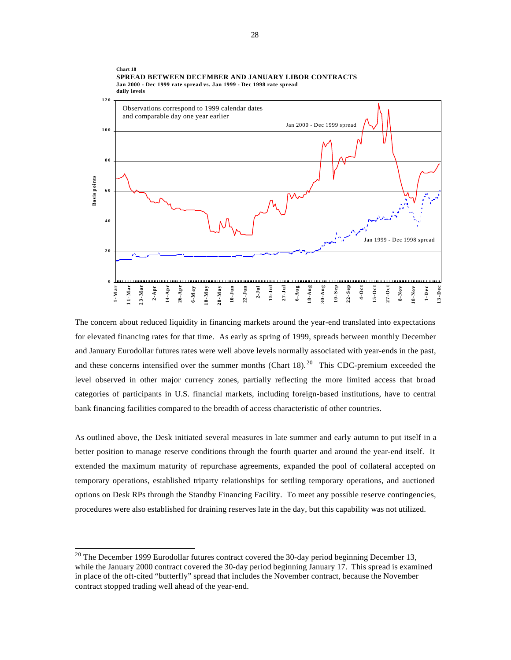

The concern about reduced liquidity in financing markets around the year-end translated into expectations for elevated financing rates for that time. As early as spring of 1999, spreads between monthly December and January Eurodollar futures rates were well above levels normally associated with year-ends in the past, and these concerns intensified over the summer months (Chart 18). <sup>20</sup> This CDC-premium exceeded the level observed in other major currency zones, partially reflecting the more limited access that broad categories of participants in U.S. financial markets, including foreign-based institutions, have to central bank financing facilities compared to the breadth of access characteristic of other countries.

As outlined above, the Desk initiated several measures in late summer and early autumn to put itself in a better position to manage reserve conditions through the fourth quarter and around the year-end itself. It extended the maximum maturity of repurchase agreements, expanded the pool of collateral accepted on temporary operations, established triparty relationships for settling temporary operations, and auctioned options on Desk RPs through the Standby Financing Facility. To meet any possible reserve contingencies, procedures were also established for draining reserves late in the day, but this capability was not utilized.

 $20$  The December 1999 Eurodollar futures contract covered the 30-day period beginning December 13, while the January 2000 contract covered the 30-day period beginning January 17. This spread is examined in place of the oft-cited "butterfly" spread that includes the November contract, because the November contract stopped trading well ahead of the year-end.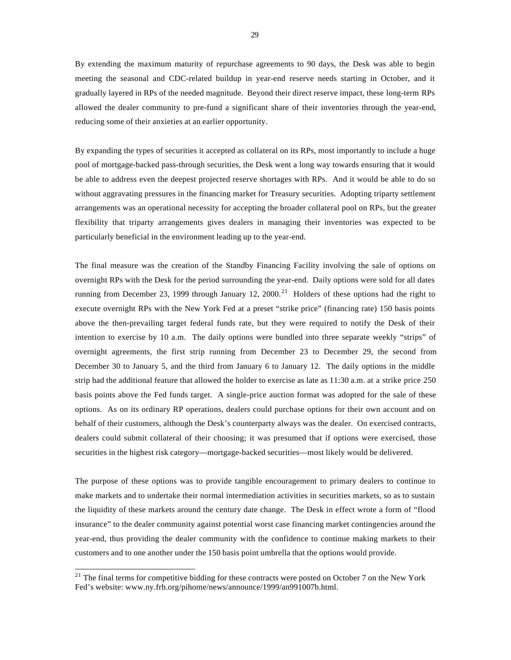By extending the maximum maturity of repurchase agreements to 90 days, the Desk was able to begin meeting the seasonal and CDC-related buildup in year-end reserve needs starting in October, and it gradually layered in RPs of the needed magnitude. Beyond their direct reserve impact, these long-term RPs allowed the dealer community to pre-fund a significant share of their inventories through the year-end, reducing some of their anxieties at an earlier opportunity.

By expanding the types of securities it accepted as collateral on its RPs, most importantly to include a huge pool of mortgage-backed pass-through securities, the Desk went a long way towards ensuring that it would be able to address even the deepest projected reserve shortages with RPs. And it would be able to do so without aggravating pressures in the financing market for Treasury securities. Adopting triparty settlement arrangements was an operational necessity for accepting the broader collateral pool on RPs, but the greater flexibility that triparty arrangements gives dealers in managing their inventories was expected to be particularly beneficial in the environment leading up to the year-end.

The final measure was the creation of the Standby Financing Facility involving the sale of options on overnight RPs with the Desk for the period surrounding the year-end. Daily options were sold for all dates running from December 23, 1999 through January 12, 2000.<sup>21</sup> Holders of these options had the right to execute overnight RPs with the New York Fed at a preset "strike price" (financing rate) 150 basis points above the then-prevailing target federal funds rate, but they were required to notify the Desk of their intention to exercise by 10 a.m. The daily options were bundled into three separate weekly "strips" of overnight agreements, the first strip running from December 23 to December 29, the second from December 30 to January 5, and the third from January 6 to January 12. The daily options in the middle strip had the additional feature that allowed the holder to exercise as late as 11:30 a.m. at a strike price 250 basis points above the Fed funds target. A single-price auction format was adopted for the sale of these options. As on its ordinary RP operations, dealers could purchase options for their own account and on behalf of their customers, although the Desk's counterparty always was the dealer. On exercised contracts, dealers could submit collateral of their choosing; it was presumed that if options were exercised, those securities in the highest risk category—mortgage-backed securities—most likely would be delivered.

The purpose of these options was to provide tangible encouragement to primary dealers to continue to make markets and to undertake their normal intermediation activities in securities markets, so as to sustain the liquidity of these markets around the century date change. The Desk in effect wrote a form of "flood insurance" to the dealer community against potential worst case financing market contingencies around the year-end, thus providing the dealer community with the confidence to continue making markets to their customers and to one another under the 150 basis point umbrella that the options would provide.

 $21$  The final terms for competitive bidding for these contracts were posted on October 7 on the New York Fed's website: www.ny.frb.org/pihome/news/announce/1999/an991007b.html.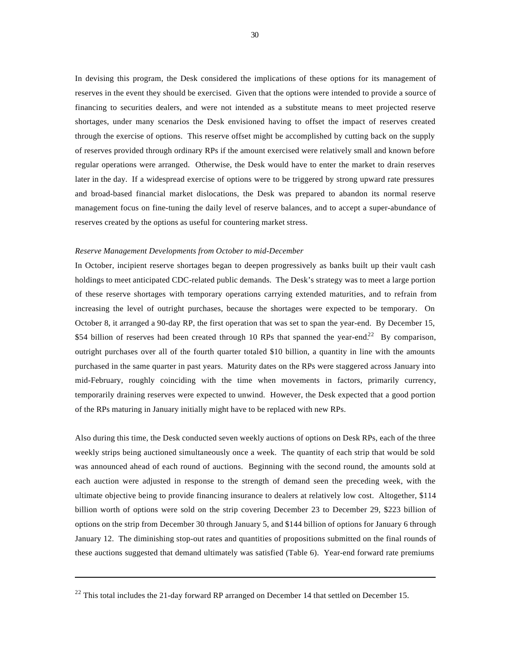In devising this program, the Desk considered the implications of these options for its management of reserves in the event they should be exercised. Given that the options were intended to provide a source of financing to securities dealers, and were not intended as a substitute means to meet projected reserve shortages, under many scenarios the Desk envisioned having to offset the impact of reserves created through the exercise of options. This reserve offset might be accomplished by cutting back on the supply of reserves provided through ordinary RPs if the amount exercised were relatively small and known before regular operations were arranged. Otherwise, the Desk would have to enter the market to drain reserves later in the day. If a widespread exercise of options were to be triggered by strong upward rate pressures and broad-based financial market dislocations, the Desk was prepared to abandon its normal reserve management focus on fine-tuning the daily level of reserve balances, and to accept a super-abundance of reserves created by the options as useful for countering market stress.

#### *Reserve Management Developments from October to mid-December*

In October, incipient reserve shortages began to deepen progressively as banks built up their vault cash holdings to meet anticipated CDC-related public demands. The Desk's strategy was to meet a large portion of these reserve shortages with temporary operations carrying extended maturities, and to refrain from increasing the level of outright purchases, because the shortages were expected to be temporary. On October 8, it arranged a 90-day RP, the first operation that was set to span the year-end. By December 15, \$54 billion of reserves had been created through 10 RPs that spanned the year-end.<sup>22</sup> By comparison, outright purchases over all of the fourth quarter totaled \$10 billion, a quantity in line with the amounts purchased in the same quarter in past years. Maturity dates on the RPs were staggered across January into mid-February, roughly coinciding with the time when movements in factors, primarily currency, temporarily draining reserves were expected to unwind. However, the Desk expected that a good portion of the RPs maturing in January initially might have to be replaced with new RPs.

Also during this time, the Desk conducted seven weekly auctions of options on Desk RPs, each of the three weekly strips being auctioned simultaneously once a week. The quantity of each strip that would be sold was announced ahead of each round of auctions. Beginning with the second round, the amounts sold at each auction were adjusted in response to the strength of demand seen the preceding week, with the ultimate objective being to provide financing insurance to dealers at relatively low cost. Altogether, \$114 billion worth of options were sold on the strip covering December 23 to December 29, \$223 billion of options on the strip from December 30 through January 5, and \$144 billion of options for January 6 through January 12. The diminishing stop-out rates and quantities of propositions submitted on the final rounds of these auctions suggested that demand ultimately was satisfied (Table 6). Year-end forward rate premiums

 $22$  This total includes the 21-day forward RP arranged on December 14 that settled on December 15.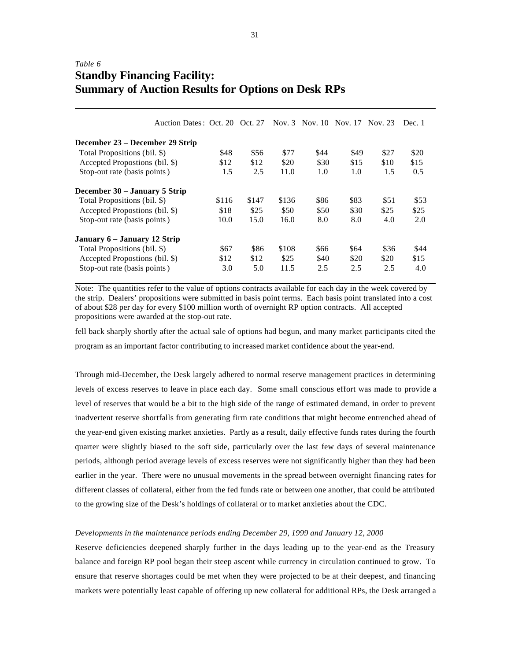# *Table 6* **Standby Financing Facility: Summary of Auction Results for Options on Desk RPs**

|                                 | Auction Dates: Oct. 20 Oct. 27 |       |       |       |      | Nov. 3 Nov. 10 Nov. 17 Nov. 23 |      | Dec. 1 |
|---------------------------------|--------------------------------|-------|-------|-------|------|--------------------------------|------|--------|
| December 23 – December 29 Strip |                                |       |       |       |      |                                |      |        |
| Total Propositions (bil. \$)    |                                | \$48  | \$56  | \$77  | \$44 | \$49                           | \$27 | \$20   |
| Accepted Propostions (bil. \$)  |                                | \$12  | \$12  | \$20  | \$30 | \$15                           | \$10 | \$15   |
| Stop-out rate (basis points)    |                                | 1.5   | 2.5   | 11.0  | 1.0  | 1.0                            | 1.5  | 0.5    |
| December 30 – January 5 Strip   |                                |       |       |       |      |                                |      |        |
| Total Propositions (bil. \$)    |                                | \$116 | \$147 | \$136 | \$86 | \$83                           | \$51 | \$53   |
| Accepted Propostions (bil. \$)  |                                | \$18  | \$25  | \$50  | \$50 | \$30                           | \$25 | \$25   |
| Stop-out rate (basis points)    |                                | 10.0  | 15.0  | 16.0  | 8.0  | 8.0                            | 4.0  | 2.0    |
| January 6 – January 12 Strip    |                                |       |       |       |      |                                |      |        |
| Total Propositions (bil. \$)    |                                | \$67  | \$86  | \$108 | \$66 | \$64                           | \$36 | \$44   |
| Accepted Propostions (bil. \$)  |                                | \$12  | \$12  | \$25  | \$40 | \$20                           | \$20 | \$15   |
| Stop-out rate (basis points)    |                                | 3.0   | 5.0   | 11.5  | 2.5  | 2.5                            | 2.5  | 4.0    |

Note: The quantities refer to the value of options contracts available for each day in the week covered by the strip. Dealers' propositions were submitted in basis point terms. Each basis point translated into a cost of about \$28 per day for every \$100 million worth of overnight RP option contracts. All accepted propositions were awarded at the stop-out rate.

fell back sharply shortly after the actual sale of options had begun, and many market participants cited the program as an important factor contributing to increased market confidence about the year-end.

Through mid-December, the Desk largely adhered to normal reserve management practices in determining levels of excess reserves to leave in place each day. Some small conscious effort was made to provide a level of reserves that would be a bit to the high side of the range of estimated demand, in order to prevent inadvertent reserve shortfalls from generating firm rate conditions that might become entrenched ahead of the year-end given existing market anxieties. Partly as a result, daily effective funds rates during the fourth quarter were slightly biased to the soft side, particularly over the last few days of several maintenance periods, although period average levels of excess reserves were not significantly higher than they had been earlier in the year. There were no unusual movements in the spread between overnight financing rates for different classes of collateral, either from the fed funds rate or between one another, that could be attributed to the growing size of the Desk's holdings of collateral or to market anxieties about the CDC.

#### *Developments in the maintenance periods ending December 29, 1999 and January 12, 2000*

Reserve deficiencies deepened sharply further in the days leading up to the year-end as the Treasury balance and foreign RP pool began their steep ascent while currency in circulation continued to grow. To ensure that reserve shortages could be met when they were projected to be at their deepest, and financing markets were potentially least capable of offering up new collateral for additional RPs, the Desk arranged a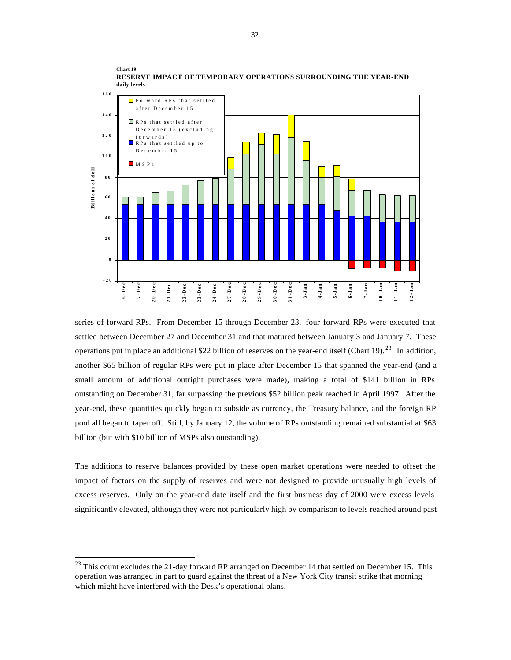

**RESERVE IMPACT OF TEMPORARY OPERATIONS SURROUNDING THE YEAR-END daily levels**

series of forward RPs. From December 15 through December 23, four forward RPs were executed that settled between December 27 and December 31 and that matured between January 3 and January 7. These operations put in place an additional \$22 billion of reserves on the year-end itself (Chart 19).<sup>23</sup> In addition, another \$65 billion of regular RPs were put in place after December 15 that spanned the year-end (and a small amount of additional outright purchases were made), making a total of \$141 billion in RPs outstanding on December 31, far surpassing the previous \$52 billion peak reached in April 1997. After the year-end, these quantities quickly began to subside as currency, the Treasury balance, and the foreign RP pool all began to taper off. Still, by January 12, the volume of RPs outstanding remained substantial at \$63 billion (but with \$10 billion of MSPs also outstanding).

The additions to reserve balances provided by these open market operations were needed to offset the impact of factors on the supply of reserves and were not designed to provide unusually high levels of excess reserves. Only on the year-end date itself and the first business day of 2000 were excess levels significantly elevated, although they were not particularly high by comparison to levels reached around past

**Chart 19**

<sup>&</sup>lt;sup>23</sup> This count excludes the 21-day forward RP arranged on December 14 that settled on December 15. This operation was arranged in part to guard against the threat of a New York City transit strike that morning which might have interfered with the Desk's operational plans.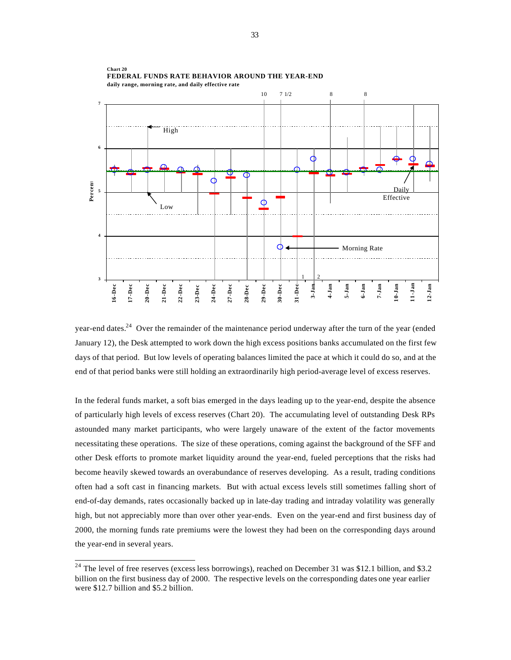

**Chart 20 FEDERAL FUNDS RATE BEHAVIOR AROUND THE YEAR-END daily range, morning rate, and daily effective rate**

year-end dates.<sup>24</sup> Over the remainder of the maintenance period underway after the turn of the year (ended January 12), the Desk attempted to work down the high excess positions banks accumulated on the first few days of that period. But low levels of operating balances limited the pace at which it could do so, and at the end of that period banks were still holding an extraordinarily high period-average level of excess reserves.

In the federal funds market, a soft bias emerged in the days leading up to the year-end, despite the absence of particularly high levels of excess reserves (Chart 20). The accumulating level of outstanding Desk RPs astounded many market participants, who were largely unaware of the extent of the factor movements necessitating these operations. The size of these operations, coming against the background of the SFF and other Desk efforts to promote market liquidity around the year-end, fueled perceptions that the risks had become heavily skewed towards an overabundance of reserves developing. As a result, trading conditions often had a soft cast in financing markets. But with actual excess levels still sometimes falling short of end-of-day demands, rates occasionally backed up in late-day trading and intraday volatility was generally high, but not appreciably more than over other year-ends. Even on the year-end and first business day of 2000, the morning funds rate premiums were the lowest they had been on the corresponding days around the year-end in several years.

 $2<sup>24</sup>$  The level of free reserves (excess less borrowings), reached on December 31 was \$12.1 billion, and \$3.2 billion on the first business day of 2000. The respective levels on the corresponding dates one year earlier were \$12.7 billion and \$5.2 billion.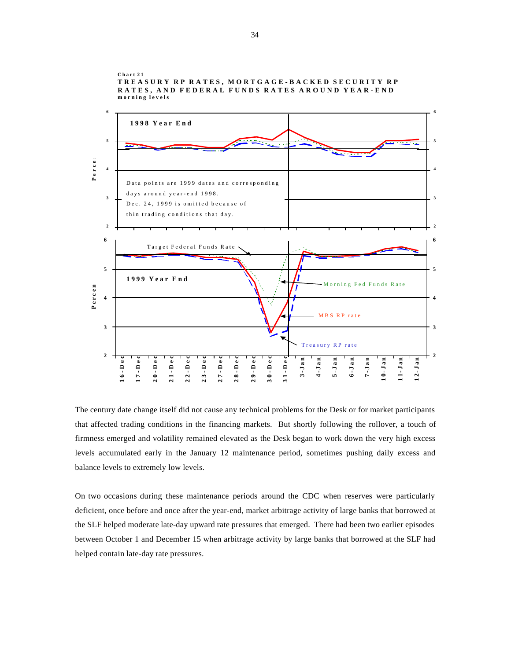

**Chart 21 TREASURY RP RATES, MORTGAGE-BACKED SECURITY RP RATES, AND FEDERAL FUNDS RATES AROUND YEAR-END morning levels**

The century date change itself did not cause any technical problems for the Desk or for market participants that affected trading conditions in the financing markets. But shortly following the rollover, a touch of firmness emerged and volatility remained elevated as the Desk began to work down the very high excess levels accumulated early in the January 12 maintenance period, sometimes pushing daily excess and balance levels to extremely low levels.

On two occasions during these maintenance periods around the CDC when reserves were particularly deficient, once before and once after the year-end, market arbitrage activity of large banks that borrowed at the SLF helped moderate late-day upward rate pressures that emerged. There had been two earlier episodes between October 1 and December 15 when arbitrage activity by large banks that borrowed at the SLF had helped contain late-day rate pressures.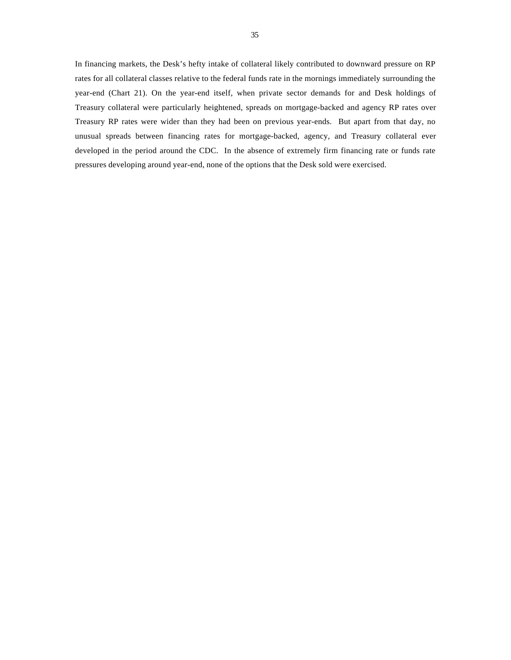In financing markets, the Desk's hefty intake of collateral likely contributed to downward pressure on RP rates for all collateral classes relative to the federal funds rate in the mornings immediately surrounding the year-end (Chart 21). On the year-end itself, when private sector demands for and Desk holdings of Treasury collateral were particularly heightened, spreads on mortgage-backed and agency RP rates over Treasury RP rates were wider than they had been on previous year-ends. But apart from that day, no unusual spreads between financing rates for mortgage-backed, agency, and Treasury collateral ever developed in the period around the CDC. In the absence of extremely firm financing rate or funds rate pressures developing around year-end, none of the options that the Desk sold were exercised.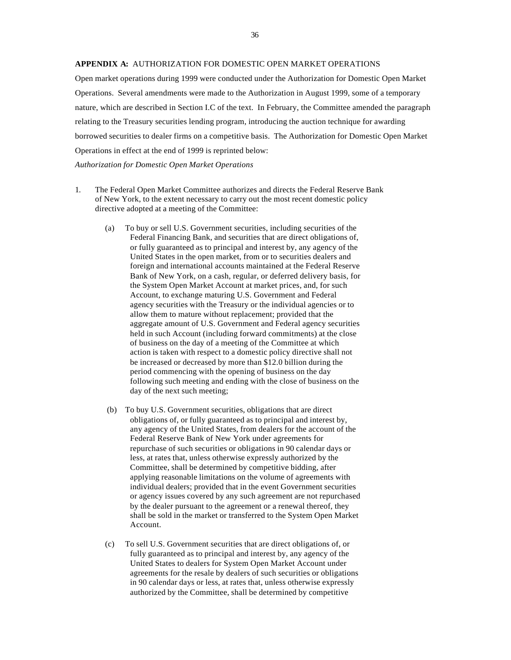#### **APPENDIX A:** AUTHORIZATION FOR DOMESTIC OPEN MARKET OPERATIONS

Open market operations during 1999 were conducted under the Authorization for Domestic Open Market Operations. Several amendments were made to the Authorization in August 1999, some of a temporary nature, which are described in Section I.C of the text. In February, the Committee amended the paragraph relating to the Treasury securities lending program, introducing the auction technique for awarding borrowed securities to dealer firms on a competitive basis. The Authorization for Domestic Open Market Operations in effect at the end of 1999 is reprinted below:

*Authorization for Domestic Open Market Operations*

- 1. The Federal Open Market Committee authorizes and directs the Federal Reserve Bank of New York, to the extent necessary to carry out the most recent domestic policy directive adopted at a meeting of the Committee:
	- (a) To buy or sell U.S. Government securities, including securities of the Federal Financing Bank, and securities that are direct obligations of, or fully guaranteed as to principal and interest by, any agency of the United States in the open market, from or to securities dealers and foreign and international accounts maintained at the Federal Reserve Bank of New York, on a cash, regular, or deferred delivery basis, for the System Open Market Account at market prices, and, for such Account, to exchange maturing U.S. Government and Federal agency securities with the Treasury or the individual agencies or to allow them to mature without replacement; provided that the aggregate amount of U.S. Government and Federal agency securities held in such Account (including forward commitments) at the close of business on the day of a meeting of the Committee at which action is taken with respect to a domestic policy directive shall not be increased or decreased by more than \$12.0 billion during the period commencing with the opening of business on the day following such meeting and ending with the close of business on the day of the next such meeting;
	- (b) To buy U.S. Government securities, obligations that are direct obligations of, or fully guaranteed as to principal and interest by, any agency of the United States, from dealers for the account of the Federal Reserve Bank of New York under agreements for repurchase of such securities or obligations in 90 calendar days or less, at rates that, unless otherwise expressly authorized by the Committee, shall be determined by competitive bidding, after applying reasonable limitations on the volume of agreements with individual dealers; provided that in the event Government securities or agency issues covered by any such agreement are not repurchased by the dealer pursuant to the agreement or a renewal thereof, they shall be sold in the market or transferred to the System Open Market Account.
	- (c) To sell U.S. Government securities that are direct obligations of, or fully guaranteed as to principal and interest by, any agency of the United States to dealers for System Open Market Account under agreements for the resale by dealers of such securities or obligations in 90 calendar days or less, at rates that, unless otherwise expressly authorized by the Committee, shall be determined by competitive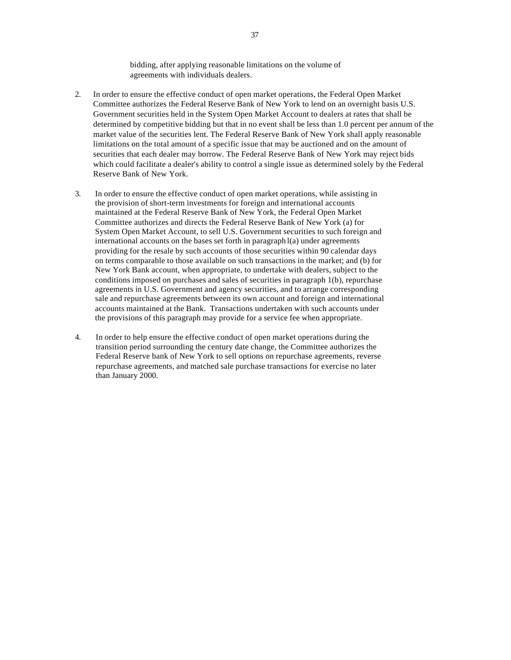bidding, after applying reasonable limitations on the volume of agreements with individuals dealers.

- 2. In order to ensure the effective conduct of open market operations, the Federal Open Market Committee authorizes the Federal Reserve Bank of New York to lend on an overnight basis U.S. Government securities held in the System Open Market Account to dealers at rates that shall be determined by competitive bidding but that in no event shall be less than 1.0 percent per annum of the market value of the securities lent. The Federal Reserve Bank of New York shall apply reasonable limitations on the total amount of a specific issue that may be auctioned and on the amount of securities that each dealer may borrow. The Federal Reserve Bank of New York may reject bids which could facilitate a dealer's ability to control a single issue as determined solely by the Federal Reserve Bank of New York.
- 3. In order to ensure the effective conduct of open market operations, while assisting in the provision of short-term investments for foreign and international accounts maintained at the Federal Reserve Bank of New York, the Federal Open Market Committee authorizes and directs the Federal Reserve Bank of New York (a) for System Open Market Account, to sell U.S. Government securities to such foreign and international accounts on the bases set forth in paragraph l(a) under agreements providing for the resale by such accounts of those securities within 90 calendar days on terms comparable to those available on such transactions in the market; and (b) for New York Bank account, when appropriate, to undertake with dealers, subject to the conditions imposed on purchases and sales of securities in paragraph 1(b), repurchase agreements in U.S. Government and agency securities, and to arrange corresponding sale and repurchase agreements between its own account and foreign and international accounts maintained at the Bank. Transactions undertaken with such accounts under the provisions of this paragraph may provide for a service fee when appropriate.
- 4. In order to help ensure the effective conduct of open market operations during the transition period surrounding the century date change, the Committee authorizes the Federal Reserve bank of New York to sell options on repurchase agreements, reverse repurchase agreements, and matched sale purchase transactions for exercise no later than January 2000.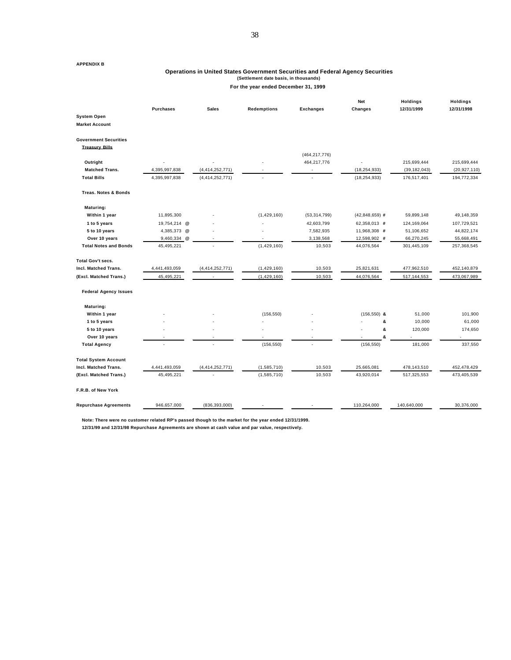#### **APPENDIX B**

#### **Operations in United States Government Securities and Federal Agency Securities (Settlement date basis, in thousands)**

#### **For the year ended December 31, 1999**

|                                                       | <b>Purchases</b>         | <b>Sales</b>       | <b>Redemptions</b> | <b>Exchanges</b> | <b>Net</b><br><b>Changes</b> | <b>Holdings</b><br>12/31/1999 | <b>Holdings</b><br>12/31/1998 |
|-------------------------------------------------------|--------------------------|--------------------|--------------------|------------------|------------------------------|-------------------------------|-------------------------------|
| System Open                                           |                          |                    |                    |                  |                              |                               |                               |
| <b>Market Account</b>                                 |                          |                    |                    |                  |                              |                               |                               |
| <b>Government Securities</b><br><b>Treasury Bills</b> |                          |                    |                    |                  |                              |                               |                               |
|                                                       |                          |                    |                    | (464, 217, 776)  |                              |                               |                               |
| Outright                                              |                          |                    |                    | 464,217,776      |                              | 215,699,444                   | 215,699,444                   |
| <b>Matched Trans.</b>                                 | 4,395,997,838            | (4, 414, 252, 771) |                    |                  | (18, 254, 933)               | (39, 182, 043)                | (20, 927, 110)                |
| <b>Total Bills</b>                                    | 4,395,997,838            | (4, 414, 252, 771) |                    |                  | (18, 254, 933)               | 176,517,401                   | 194,772,334                   |
| <b>Treas. Notes &amp; Bonds</b>                       |                          |                    |                    |                  |                              |                               |                               |
| Maturing:                                             |                          |                    |                    |                  |                              |                               |                               |
| Within 1 year                                         | 11,895,300               |                    | (1,429,160)        | (53, 314, 799)   | $(42,848,659)$ #             | 59,899,148                    | 49,148,359                    |
| 1 to 5 years                                          | 19,754,214 @             |                    |                    | 42,603,799       | 62,358,013 #                 | 124,169,064                   | 107,729,521                   |
| 5 to 10 years                                         | 4,385,373 @              |                    |                    | 7,582,935        | 11,968,308 #                 | 51,106,652                    | 44,822,174                    |
| Over 10 years                                         | 9,460,334 @              |                    |                    | 3,138,568        | 12,598,902 #                 | 66,270,245                    | 55,668,491                    |
| <b>Total Notes and Bonds</b>                          | 45,495,221               | ä,                 | (1,429,160)        | 10,503           | 44,076,564                   | 301,445,109                   | 257,368,545                   |
| Total Gov't secs.                                     |                          |                    |                    |                  |                              |                               |                               |
| Incl. Matched Trans.                                  | 4,441,493,059            | (4, 414, 252, 771) | (1,429,160)        | 10,503           | 25,821,631                   | 477,962,510                   | 452,140,879                   |
| (Excl. Matched Trans.)                                | 45,495,221               |                    | (1, 429, 160)      | 10,503           | 44,076,564                   | 517, 144, 553                 | 473,067,989                   |
| <b>Federal Agency Issues</b>                          |                          |                    |                    |                  |                              |                               |                               |
| Maturing:                                             |                          |                    |                    |                  |                              |                               |                               |
| Within 1 year                                         |                          |                    | (156, 550)         |                  | $(156, 550)$ &               | 51,000                        | 101,900                       |
| 1 to 5 years                                          |                          |                    |                    |                  | &                            | 10,000                        | 61,000                        |
| 5 to 10 years                                         |                          |                    |                    |                  | &                            | 120,000                       | 174,650                       |
| Over 10 years                                         | ٠                        |                    |                    |                  | &                            |                               |                               |
| <b>Total Agency</b>                                   | $\overline{\phantom{a}}$ | ä,                 | (156, 550)         | ÷,               | (156, 550)                   | 181,000                       | 337,550                       |
| <b>Total System Account</b>                           |                          |                    |                    |                  |                              |                               |                               |
| Incl. Matched Trans.                                  | 4,441,493,059            | (4,414,252,771)    | (1,585,710)        | 10,503           | 25,665,081                   | 478,143,510                   | 452,478,429                   |
| (Excl. Matched Trans.)                                | 45,495,221               |                    | (1,585,710)        | 10,503           | 43,920,014                   | 517,325,553                   | 473,405,539                   |
| F.R.B. of New York                                    |                          |                    |                    |                  |                              |                               |                               |
| <b>Repurchase Agreements</b>                          | 946,657,000              | (836, 393, 000)    |                    |                  | 110,264,000                  | 140,640,000                   | 30,376,000                    |

**Note: There were no customer related RP's passed though to the market for the year ended 12/31/1999.**

**12/31/99 and 12/31/98 Repurchase Agreements are shown at cash value and par value, respectively.**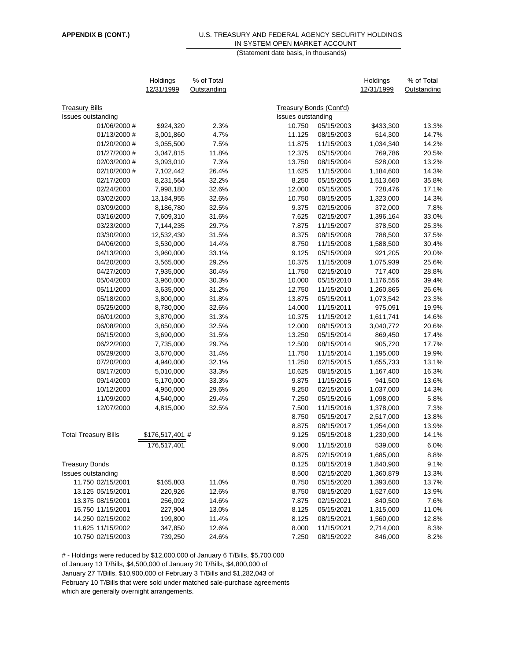#### **APPENDIX B (CONT.)** U.S. TREASURY AND FEDERAL AGENCY SECURITY HOLDINGS IN SYSTEM OPEN MARKET ACCOUNT (Statement date basis, in thousands)

|                             | Holdings        | % of Total  |                    |                         | Holdings   | % of Total  |
|-----------------------------|-----------------|-------------|--------------------|-------------------------|------------|-------------|
|                             | 12/31/1999      | Outstanding |                    |                         | 12/31/1999 | Outstanding |
|                             |                 |             |                    |                         |            |             |
| <b>Treasury Bills</b>       |                 |             |                    | Treasury Bonds (Cont'd) |            |             |
| Issues outstanding          |                 |             | Issues outstanding |                         |            |             |
| 01/06/2000 #                | \$924,320       | 2.3%        | 10.750             | 05/15/2003              | \$433,300  | 13.3%       |
| 01/13/2000 #                | 3,001,860       | 4.7%        | 11.125             | 08/15/2003              | 514,300    | 14.7%       |
| 01/20/2000 #                | 3,055,500       | 7.5%        | 11.875             | 11/15/2003              | 1,034,340  | 14.2%       |
| 01/27/2000 #                | 3,047,815       | 11.8%       | 12.375             | 05/15/2004              | 769,786    | 20.5%       |
| 02/03/2000 #                | 3,093,010       | 7.3%        | 13.750             | 08/15/2004              | 528,000    | 13.2%       |
| 02/10/2000 #                | 7,102,442       | 26.4%       | 11.625             | 11/15/2004              | 1,184,600  | 14.3%       |
| 02/17/2000                  | 8,231,564       | 32.2%       | 8.250              | 05/15/2005              | 1,513,660  | 35.8%       |
| 02/24/2000                  | 7,998,180       | 32.6%       | 12.000             | 05/15/2005              | 728,476    | 17.1%       |
| 03/02/2000                  | 13,184,955      | 32.6%       | 10.750             | 08/15/2005              | 1,323,000  | 14.3%       |
| 03/09/2000                  | 8,186,780       | 32.5%       | 9.375              | 02/15/2006              | 372,000    | 7.8%        |
| 03/16/2000                  | 7,609,310       | 31.6%       | 7.625              | 02/15/2007              | 1,396,164  | 33.0%       |
| 03/23/2000                  | 7,144,235       | 29.7%       | 7.875              | 11/15/2007              | 378,500    | 25.3%       |
| 03/30/2000                  | 12,532,430      | 31.5%       | 8.375              | 08/15/2008              | 788,500    | 37.5%       |
| 04/06/2000                  | 3,530,000       | 14.4%       | 8.750              | 11/15/2008              | 1,588,500  | 30.4%       |
| 04/13/2000                  | 3,960,000       | 33.1%       | 9.125              | 05/15/2009              | 921,205    | 20.0%       |
| 04/20/2000                  | 3,565,000       | 29.2%       | 10.375             | 11/15/2009              | 1,075,939  | 25.6%       |
| 04/27/2000                  | 7,935,000       | 30.4%       | 11.750             | 02/15/2010              | 717,400    | 28.8%       |
| 05/04/2000                  | 3,960,000       | 30.3%       | 10.000             | 05/15/2010              | 1,176,556  | 39.4%       |
| 05/11/2000                  | 3,635,000       | 31.2%       | 12.750             | 11/15/2010              | 1,260,865  | 26.6%       |
| 05/18/2000                  | 3,800,000       | 31.8%       | 13.875             | 05/15/2011              | 1,073,542  | 23.3%       |
| 05/25/2000                  | 8,780,000       | 32.6%       | 14.000             | 11/15/2011              | 975,091    | 19.9%       |
| 06/01/2000                  | 3,870,000       | 31.3%       | 10.375             | 11/15/2012              | 1,611,741  | 14.6%       |
| 06/08/2000                  | 3,850,000       | 32.5%       | 12.000             | 08/15/2013              | 3,040,772  | 20.6%       |
| 06/15/2000                  | 3,690,000       | 31.5%       | 13.250             | 05/15/2014              | 869,450    | 17.4%       |
| 06/22/2000                  | 7,735,000       | 29.7%       | 12.500             | 08/15/2014              | 905,720    | 17.7%       |
| 06/29/2000                  | 3,670,000       | 31.4%       | 11.750             | 11/15/2014              | 1,195,000  | 19.9%       |
| 07/20/2000                  | 4,940,000       | 32.1%       | 11.250             | 02/15/2015              | 1,655,733  | 13.1%       |
| 08/17/2000                  | 5,010,000       | 33.3%       | 10.625             | 08/15/2015              | 1,167,400  | 16.3%       |
| 09/14/2000                  | 5,170,000       | 33.3%       | 9.875              | 11/15/2015              | 941,500    | 13.6%       |
| 10/12/2000                  | 4,950,000       | 29.6%       | 9.250              | 02/15/2016              | 1,037,000  | 14.3%       |
| 11/09/2000                  | 4,540,000       | 29.4%       | 7.250              | 05/15/2016              | 1,098,000  | 5.8%        |
| 12/07/2000                  | 4,815,000       | 32.5%       | 7.500              | 11/15/2016              | 1,378,000  | 7.3%        |
|                             |                 |             | 8.750              | 05/15/2017              | 2,517,000  | 13.8%       |
|                             |                 |             | 8.875              | 08/15/2017              | 1,954,000  | 13.9%       |
| <b>Total Treasury Bills</b> | \$176,517,401 # |             | 9.125              | 05/15/2018              | 1,230,900  | 14.1%       |
|                             | 176,517,401     |             | 9.000              | 11/15/2018              | 539,000    | 6.0%        |
|                             |                 |             |                    |                         |            |             |
|                             |                 |             | 8.875              | 02/15/2019              | 1,685,000  | 8.8%        |
| <b>Treasury Bonds</b>       |                 |             | 8.125              | 08/15/2019              | 1,840,900  | 9.1%        |
| Issues outstanding          |                 |             | 8.500              | 02/15/2020              | 1,360,879  | 13.3%       |
| 11.750 02/15/2001           | \$165,803       | 11.0%       | 8.750              | 05/15/2020              | 1,393,600  | 13.7%       |
| 13.125 05/15/2001           | 220,926         | 12.6%       | 8.750              | 08/15/2020              | 1,527,600  | 13.9%       |
| 13.375 08/15/2001           | 256,092         | 14.6%       | 7.875              | 02/15/2021              | 840,500    | 7.6%        |
| 15.750 11/15/2001           | 227,904         | 13.0%       | 8.125              | 05/15/2021              | 1,315,000  | 11.0%       |
| 14.250 02/15/2002           | 199,800         | 11.4%       | 8.125              | 08/15/2021              | 1,560,000  | 12.8%       |
| 11.625 11/15/2002           | 347,850         | 12.6%       | 8.000              | 11/15/2021              | 2,714,000  | 8.3%        |
| 10.750 02/15/2003           | 739,250         | 24.6%       | 7.250              | 08/15/2022              | 846,000    | 8.2%        |

# - Holdings were reduced by \$12,000,000 of January 6 T/Bills, \$5,700,000 of January 13 T/Bills, \$4,500,000 of January 20 T/Bills, \$4,800,000 of January 27 T/Bills, \$10,900,000 of February 3 T/Bills and \$1,282,043 of February 10 T/Bills that were sold under matched sale-purchase agreements which are generally overnight arrangements.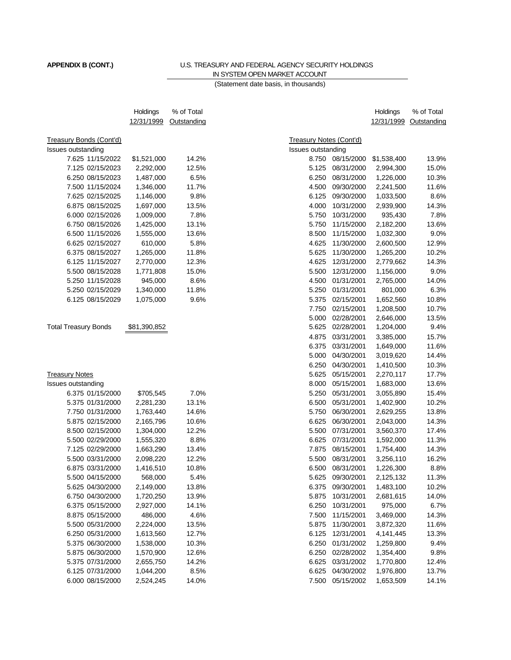## **APPENDIX B (CONT.)** U.S. TREASURY AND FEDERAL AGENCY SECURITY HOLDINGS IN SYSTEM OPEN MARKET ACCOUNT

(Statement date basis, in thousands)

|                                | Holdings             | % of Total  |                                |            | Holdings               | % of Total  |
|--------------------------------|----------------------|-------------|--------------------------------|------------|------------------------|-------------|
|                                | 12/31/1999           | Outstanding |                                |            | 12/31/1999             | Outstanding |
|                                |                      |             |                                |            |                        |             |
| <b>Treasury Bonds (Cont'd)</b> |                      |             | <b>Treasury Notes (Cont'd)</b> |            |                        |             |
| Issues outstanding             |                      |             | Issues outstanding             |            |                        |             |
| 7.625 11/15/2022               | \$1,521,000          | 14.2%       | 8.750                          | 08/15/2000 | \$1,538,400            | 13.9%       |
| 7.125 02/15/2023               | 2,292,000            | 12.5%       | 5.125                          | 08/31/2000 | 2,994,300              | 15.0%       |
| 6.250 08/15/2023               | 1,487,000            | 6.5%        | 6.250                          | 08/31/2000 | 1,226,000              | 10.3%       |
| 7.500 11/15/2024               | 1,346,000            | 11.7%       | 4.500                          | 09/30/2000 | 2,241,500              | 11.6%       |
| 7.625 02/15/2025               | 1,146,000            | 9.8%        | 6.125                          | 09/30/2000 | 1,033,500              | 8.6%        |
| 6.875 08/15/2025               | 1,697,000            | 13.5%       | 4.000                          | 10/31/2000 | 2,939,900              | 14.3%       |
| 6.000 02/15/2026               | 1,009,000            | 7.8%        | 5.750                          | 10/31/2000 | 935,430                | 7.8%        |
| 6.750 08/15/2026               | 1,425,000            | 13.1%       | 5.750                          | 11/15/2000 | 2,182,200              | 13.6%       |
| 6.500 11/15/2026               | 1,555,000            | 13.6%       | 8.500                          | 11/15/2000 | 1,032,300              | 9.0%        |
| 6.625 02/15/2027               | 610,000              | 5.8%        | 4.625                          | 11/30/2000 | 2,600,500              | 12.9%       |
| 6.375 08/15/2027               | 1,265,000            | 11.8%       | 5.625                          | 11/30/2000 | 1,265,200              | 10.2%       |
| 6.125 11/15/2027               | 2,770,000            | 12.3%       | 4.625                          | 12/31/2000 | 2,779,662              | 14.3%       |
| 5.500 08/15/2028               | 1,771,808            | 15.0%       | 5.500                          | 12/31/2000 | 1,156,000              | 9.0%        |
| 5.250 11/15/2028               | 945,000              | 8.6%        | 4.500                          | 01/31/2001 | 2,765,000              | 14.0%       |
| 5.250 02/15/2029               | 1,340,000            | 11.8%       | 5.250                          | 01/31/2001 | 801,000                | 6.3%        |
| 6.125 08/15/2029               | 1,075,000            | 9.6%        | 5.375                          | 02/15/2001 | 1,652,560              | 10.8%       |
|                                |                      |             | 7.750                          | 02/15/2001 | 1,208,500              | 10.7%       |
|                                |                      |             | 5.000                          | 02/28/2001 | 2,646,000              | 13.5%       |
| <b>Total Treasury Bonds</b>    | \$81,390,852         |             | 5.625                          | 02/28/2001 | 1,204,000              | 9.4%        |
|                                |                      |             | 4.875                          | 03/31/2001 | 3,385,000              | 15.7%       |
|                                |                      |             | 6.375                          | 03/31/2001 | 1,649,000              | 11.6%       |
|                                |                      |             | 5.000                          | 04/30/2001 | 3,019,620              | 14.4%       |
|                                |                      |             | 6.250                          | 04/30/2001 | 1,410,500              | 10.3%       |
| <b>Treasury Notes</b>          |                      |             | 5.625                          | 05/15/2001 | 2,270,117              | 17.7%       |
| Issues outstanding             |                      |             | 8.000                          | 05/15/2001 | 1,683,000              | 13.6%       |
| 6.375 01/15/2000               | \$705,545            | 7.0%        | 5.250                          | 05/31/2001 | 3,055,890              | 15.4%       |
| 5.375 01/31/2000               | 2,281,230            | 13.1%       | 6.500                          | 05/31/2001 | 1,402,900              | 10.2%       |
| 7.750 01/31/2000               | 1,763,440            | 14.6%       | 5.750                          | 06/30/2001 | 2,629,255              | 13.8%       |
| 5.875 02/15/2000               | 2,165,796            | 10.6%       | 6.625                          | 06/30/2001 | 2,043,000              | 14.3%       |
| 8.500 02/15/2000               | 1,304,000            | 12.2%       | 5.500                          | 07/31/2001 | 3,560,370              | 17.4%       |
| 5.500 02/29/2000               | 1,555,320            | 8.8%        | 6.625                          | 07/31/2001 | 1,592,000              | 11.3%       |
| 7.125 02/29/2000               | 1,663,290            | 13.4%       | 7.875                          | 08/15/2001 | 1,754,400              | 14.3%       |
| 5.500 03/31/2000               | 2,098,220            | 12.2%       | 5.500                          | 08/31/2001 | 3,256,110              | 16.2%       |
| 6.875 03/31/2000               |                      | 10.8%       | 6.500                          | 08/31/2001 |                        | 8.8%        |
| 5.500 04/15/2000               | 1,416,510<br>568,000 | 5.4%        | 5.625                          | 09/30/2001 | 1,226,300<br>2,125,132 | 11.3%       |
| 5.625 04/30/2000               |                      |             |                                |            |                        |             |
|                                | 2,149,000            | 13.8%       | 6.375                          | 09/30/2001 | 1,483,100              | 10.2%       |
| 6.750 04/30/2000               | 1,720,250            | 13.9%       | 5.875                          | 10/31/2001 | 2,681,615              | 14.0%       |
| 6.375 05/15/2000               | 2,927,000            | 14.1%       | 6.250                          | 10/31/2001 | 975,000                | 6.7%        |
| 8.875 05/15/2000               | 486,000              | 4.6%        | 7.500                          | 11/15/2001 | 3,469,000              | 14.3%       |
| 5.500 05/31/2000               | 2,224,000            | 13.5%       | 5.875                          | 11/30/2001 | 3,872,320              | 11.6%       |
| 6.250 05/31/2000               | 1,613,560            | 12.7%       | 6.125                          | 12/31/2001 | 4,141,445              | 13.3%       |
| 5.375 06/30/2000               | 1,538,000            | 10.3%       | 6.250                          | 01/31/2002 | 1,259,800              | 9.4%        |
| 5.875 06/30/2000               | 1,570,900            | 12.6%       | 6.250                          | 02/28/2002 | 1,354,400              | 9.8%        |
| 5.375 07/31/2000               | 2,655,750            | 14.2%       | 6.625                          | 03/31/2002 | 1,770,800              | 12.4%       |
| 6.125 07/31/2000               | 1,044,200            | 8.5%        | 6.625                          | 04/30/2002 | 1,976,800              | 13.7%       |
| 6.000 08/15/2000               | 2,524,245            | 14.0%       | 7.500                          | 05/15/2002 | 1,653,509              | 14.1%       |